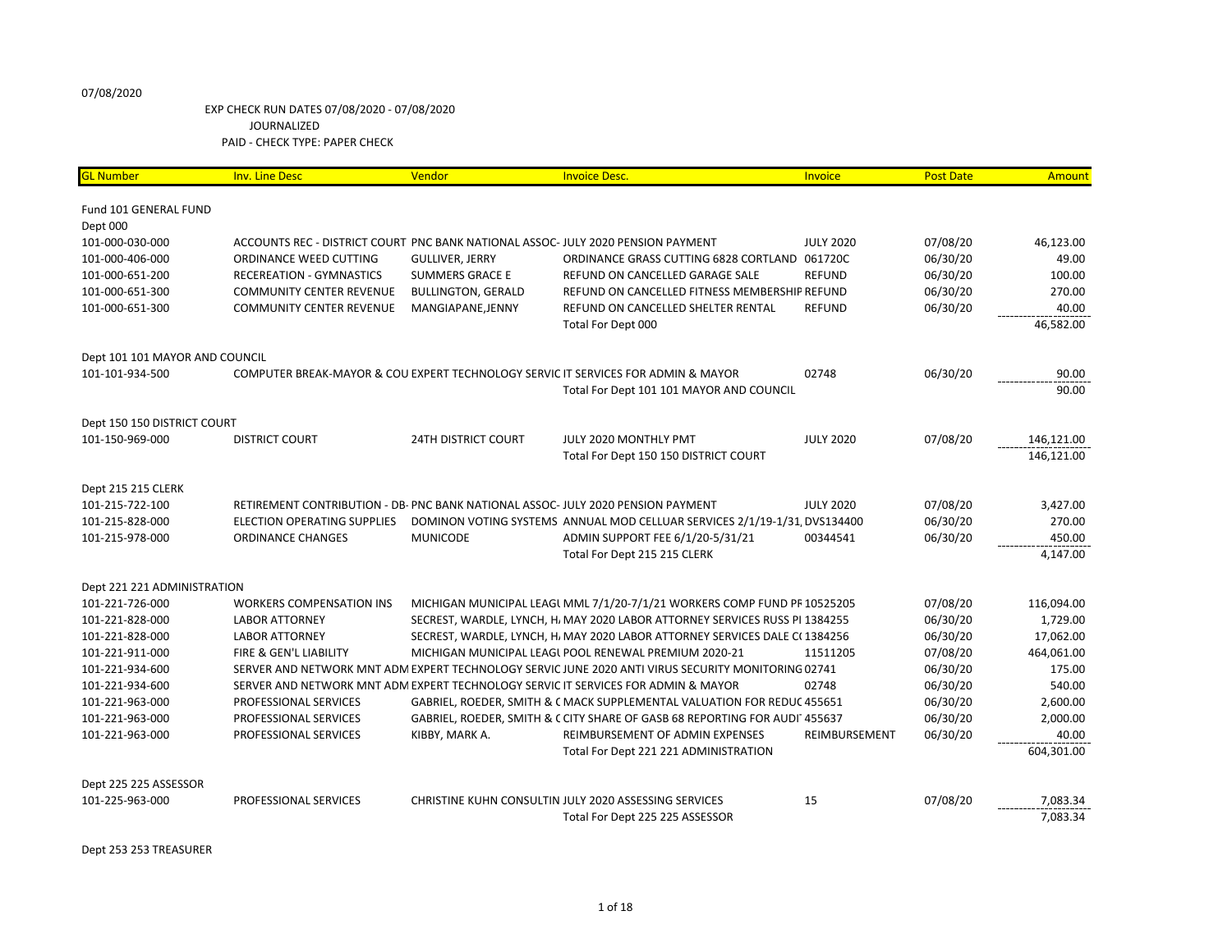## EXP CHECK RUN DATES 07/08/2020 - 07/08/2020 JOURNALIZED PAID - CHECK TYPE: PAPER CHECK

| <b>GL Number</b>               | <b>Inv. Line Desc</b>                                                            | Vendor                     | <b>Invoice Desc.</b>                                                                               | Invoice          | <b>Post Date</b> | <b>Amount</b> |
|--------------------------------|----------------------------------------------------------------------------------|----------------------------|----------------------------------------------------------------------------------------------------|------------------|------------------|---------------|
| Fund 101 GENERAL FUND          |                                                                                  |                            |                                                                                                    |                  |                  |               |
| Dept 000                       |                                                                                  |                            |                                                                                                    |                  |                  |               |
| 101-000-030-000                | ACCOUNTS REC - DISTRICT COURT PNC BANK NATIONAL ASSOC- JULY 2020 PENSION PAYMENT |                            |                                                                                                    | <b>JULY 2020</b> | 07/08/20         | 46,123.00     |
| 101-000-406-000                | ORDINANCE WEED CUTTING                                                           | <b>GULLIVER, JERRY</b>     | ORDINANCE GRASS CUTTING 6828 CORTLAND 061720C                                                      |                  | 06/30/20         | 49.00         |
| 101-000-651-200                | RECEREATION - GYMNASTICS                                                         | <b>SUMMERS GRACE E</b>     | REFUND ON CANCELLED GARAGE SALE                                                                    | <b>REFUND</b>    | 06/30/20         | 100.00        |
| 101-000-651-300                | <b>COMMUNITY CENTER REVENUE</b>                                                  | <b>BULLINGTON, GERALD</b>  | REFUND ON CANCELLED FITNESS MEMBERSHIP REFUND                                                      |                  | 06/30/20         | 270.00        |
| 101-000-651-300                | <b>COMMUNITY CENTER REVENUE</b>                                                  | MANGIAPANE, JENNY          | REFUND ON CANCELLED SHELTER RENTAL                                                                 | <b>REFUND</b>    | 06/30/20         | 40.00         |
|                                |                                                                                  |                            | Total For Dept 000                                                                                 |                  |                  | 46,582.00     |
| Dept 101 101 MAYOR AND COUNCIL |                                                                                  |                            |                                                                                                    |                  |                  |               |
| 101-101-934-500                |                                                                                  |                            | COMPUTER BREAK-MAYOR & COU EXPERT TECHNOLOGY SERVIC IT SERVICES FOR ADMIN & MAYOR                  | 02748            | 06/30/20         | 90.00         |
|                                |                                                                                  |                            | Total For Dept 101 101 MAYOR AND COUNCIL                                                           |                  |                  | 90.00         |
| Dept 150 150 DISTRICT COURT    |                                                                                  |                            |                                                                                                    |                  |                  |               |
| 101-150-969-000                | <b>DISTRICT COURT</b>                                                            | <b>24TH DISTRICT COURT</b> | JULY 2020 MONTHLY PMT                                                                              | <b>JULY 2020</b> | 07/08/20         | 146,121.00    |
|                                |                                                                                  |                            | Total For Dept 150 150 DISTRICT COURT                                                              |                  |                  | 146,121.00    |
| <b>Dept 215 215 CLERK</b>      |                                                                                  |                            |                                                                                                    |                  |                  |               |
| 101-215-722-100                | RETIREMENT CONTRIBUTION - DB- PNC BANK NATIONAL ASSOC- JULY 2020 PENSION PAYMENT |                            |                                                                                                    | <b>JULY 2020</b> | 07/08/20         | 3,427.00      |
| 101-215-828-000                | ELECTION OPERATING SUPPLIES                                                      |                            | DOMINON VOTING SYSTEMS ANNUAL MOD CELLUAR SERVICES 2/1/19-1/31, DVS134400                          |                  | 06/30/20         | 270.00        |
| 101-215-978-000                | <b>ORDINANCE CHANGES</b>                                                         | <b>MUNICODE</b>            | ADMIN SUPPORT FEE 6/1/20-5/31/21                                                                   | 00344541         | 06/30/20         | 450.00        |
|                                |                                                                                  |                            | Total For Dept 215 215 CLERK                                                                       |                  |                  | 4,147.00      |
| Dept 221 221 ADMINISTRATION    |                                                                                  |                            |                                                                                                    |                  |                  |               |
| 101-221-726-000                | <b>WORKERS COMPENSATION INS</b>                                                  |                            | MICHIGAN MUNICIPAL LEAGL MML 7/1/20-7/1/21 WORKERS COMP FUND PR 10525205                           |                  | 07/08/20         | 116,094.00    |
| 101-221-828-000                | <b>LABOR ATTORNEY</b>                                                            |                            | SECREST, WARDLE, LYNCH, H. MAY 2020 LABOR ATTORNEY SERVICES RUSS PI 1384255                        |                  | 06/30/20         | 1,729.00      |
| 101-221-828-000                | <b>LABOR ATTORNEY</b>                                                            |                            | SECREST, WARDLE, LYNCH, H, MAY 2020 LABOR ATTORNEY SERVICES DALE C(1384256                         |                  | 06/30/20         | 17,062.00     |
| 101-221-911-000                | FIRE & GEN'L LIABILITY                                                           |                            | MICHIGAN MUNICIPAL LEAGL POOL RENEWAL PREMIUM 2020-21                                              | 11511205         | 07/08/20         | 464,061.00    |
| 101-221-934-600                |                                                                                  |                            | SERVER AND NETWORK MNT ADM EXPERT TECHNOLOGY SERVIC JUNE 2020 ANTI VIRUS SECURITY MONITORING 02741 |                  | 06/30/20         | 175.00        |
| 101-221-934-600                |                                                                                  |                            | SERVER AND NETWORK MNT ADM EXPERT TECHNOLOGY SERVIC IT SERVICES FOR ADMIN & MAYOR                  | 02748            | 06/30/20         | 540.00        |
| 101-221-963-000                | PROFESSIONAL SERVICES                                                            |                            | GABRIEL, ROEDER, SMITH & C MACK SUPPLEMENTAL VALUATION FOR REDUC 455651                            |                  | 06/30/20         | 2,600.00      |
| 101-221-963-000                | PROFESSIONAL SERVICES                                                            |                            | GABRIEL, ROEDER, SMITH & CCITY SHARE OF GASB 68 REPORTING FOR AUDI1455637                          |                  | 06/30/20         | 2,000.00      |
| 101-221-963-000                | PROFESSIONAL SERVICES                                                            | KIBBY, MARK A.             | REIMBURSEMENT OF ADMIN EXPENSES                                                                    | REIMBURSEMENT    | 06/30/20         | 40.00         |
|                                |                                                                                  |                            | Total For Dept 221 221 ADMINISTRATION                                                              |                  |                  | 604,301.00    |
| Dept 225 225 ASSESSOR          |                                                                                  |                            |                                                                                                    |                  |                  |               |
| 101-225-963-000                | PROFESSIONAL SERVICES                                                            |                            | CHRISTINE KUHN CONSULTIN JULY 2020 ASSESSING SERVICES                                              | 15               | 07/08/20         | 7,083.34      |
|                                |                                                                                  |                            | Total For Dept 225 225 ASSESSOR                                                                    |                  |                  | 7,083.34      |

Dept 253 253 TREASURER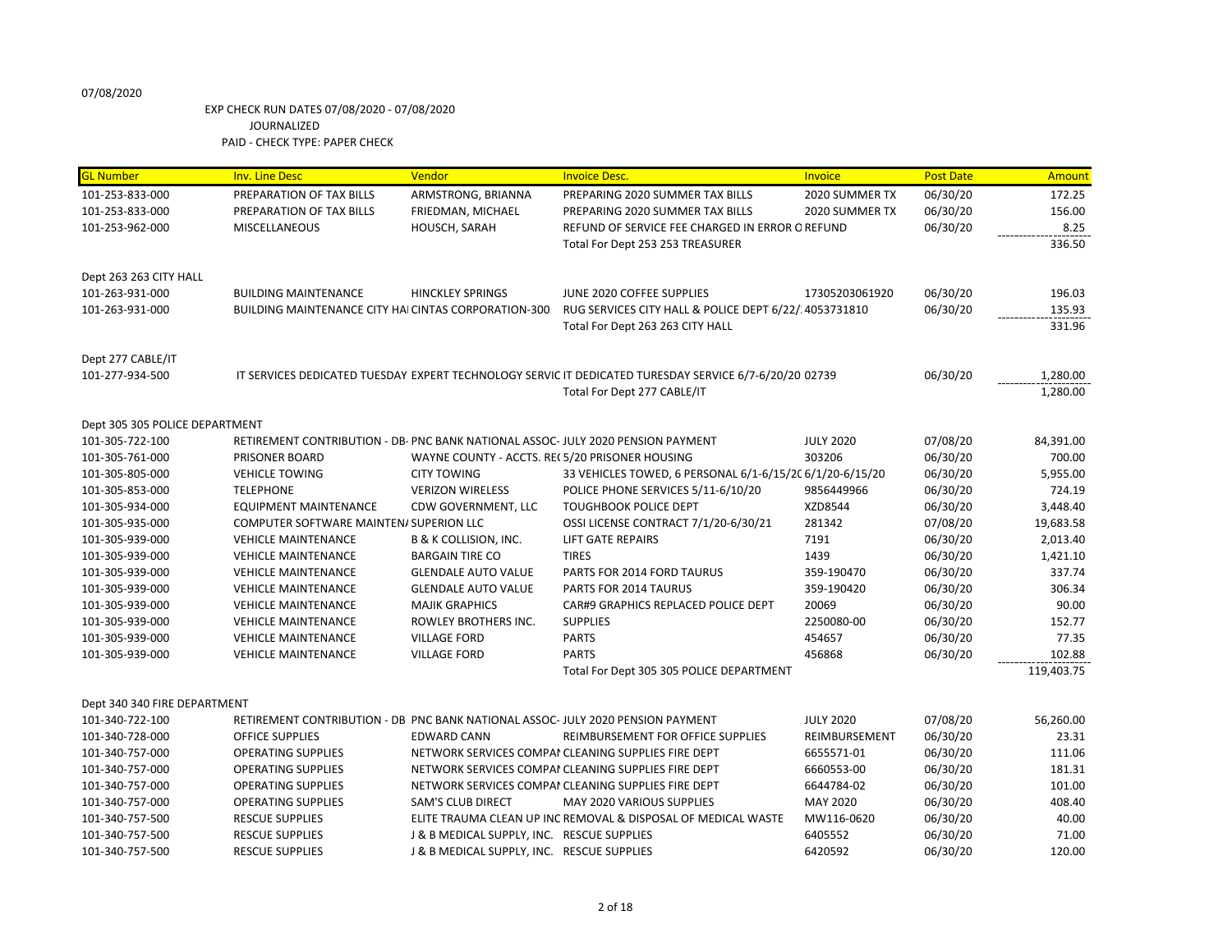| <b>GL Number</b>               | <b>Inv. Line Desc</b>                                                            | Vendor                                         | <b>Invoice Desc.</b>                                                                                   | <b>Invoice</b>   | <b>Post Date</b> | Amount     |
|--------------------------------|----------------------------------------------------------------------------------|------------------------------------------------|--------------------------------------------------------------------------------------------------------|------------------|------------------|------------|
| 101-253-833-000                | PREPARATION OF TAX BILLS                                                         | ARMSTRONG, BRIANNA                             | PREPARING 2020 SUMMER TAX BILLS                                                                        | 2020 SUMMER TX   | 06/30/20         | 172.25     |
| 101-253-833-000                | PREPARATION OF TAX BILLS                                                         | FRIEDMAN, MICHAEL                              | PREPARING 2020 SUMMER TAX BILLS                                                                        | 2020 SUMMER TX   | 06/30/20         | 156.00     |
| 101-253-962-000                | MISCELLANEOUS                                                                    | HOUSCH, SARAH                                  | REFUND OF SERVICE FEE CHARGED IN ERROR O REFUND                                                        |                  | 06/30/20         | 8.25       |
|                                |                                                                                  |                                                | Total For Dept 253 253 TREASURER                                                                       |                  |                  | 336.50     |
|                                |                                                                                  |                                                |                                                                                                        |                  |                  |            |
| Dept 263 263 CITY HALL         |                                                                                  |                                                |                                                                                                        |                  |                  |            |
| 101-263-931-000                | <b>BUILDING MAINTENANCE</b>                                                      | <b>HINCKLEY SPRINGS</b>                        | JUNE 2020 COFFEE SUPPLIES                                                                              | 17305203061920   | 06/30/20         | 196.03     |
| 101-263-931-000                | BUILDING MAINTENANCE CITY HAI CINTAS CORPORATION-300                             |                                                | RUG SERVICES CITY HALL & POLICE DEPT 6/22/.4053731810                                                  |                  | 06/30/20         | 135.93     |
|                                |                                                                                  |                                                | Total For Dept 263 263 CITY HALL                                                                       |                  |                  | 331.96     |
|                                |                                                                                  |                                                |                                                                                                        |                  |                  |            |
| Dept 277 CABLE/IT              |                                                                                  |                                                |                                                                                                        |                  |                  |            |
| 101-277-934-500                |                                                                                  |                                                | IT SERVICES DEDICATED TUESDAY EXPERT TECHNOLOGY SERVIC IT DEDICATED TURESDAY SERVICE 6/7-6/20/20 02739 |                  | 06/30/20         | 1,280.00   |
|                                |                                                                                  |                                                | Total For Dept 277 CABLE/IT                                                                            |                  |                  | 1,280.00   |
|                                |                                                                                  |                                                |                                                                                                        |                  |                  |            |
| Dept 305 305 POLICE DEPARTMENT |                                                                                  |                                                |                                                                                                        |                  |                  |            |
| 101-305-722-100                | RETIREMENT CONTRIBUTION - DB- PNC BANK NATIONAL ASSOC- JULY 2020 PENSION PAYMENT |                                                |                                                                                                        | <b>JULY 2020</b> | 07/08/20         | 84,391.00  |
| 101-305-761-000                | <b>PRISONER BOARD</b>                                                            | WAYNE COUNTY - ACCTS. RE(5/20 PRISONER HOUSING |                                                                                                        | 303206           | 06/30/20         | 700.00     |
| 101-305-805-000                | <b>VEHICLE TOWING</b>                                                            | <b>CITY TOWING</b>                             | 33 VEHICLES TOWED, 6 PERSONAL 6/1-6/15/20 6/1/20-6/15/20                                               |                  | 06/30/20         | 5,955.00   |
| 101-305-853-000                | <b>TELEPHONE</b>                                                                 | <b>VERIZON WIRELESS</b>                        | POLICE PHONE SERVICES 5/11-6/10/20                                                                     | 9856449966       | 06/30/20         | 724.19     |
| 101-305-934-000                | EQUIPMENT MAINTENANCE                                                            | CDW GOVERNMENT, LLC                            | <b>TOUGHBOOK POLICE DEPT</b>                                                                           | XZD8544          | 06/30/20         | 3,448.40   |
| 101-305-935-000                | COMPUTER SOFTWARE MAINTEN/ SUPERION LLC                                          |                                                | OSSI LICENSE CONTRACT 7/1/20-6/30/21                                                                   | 281342           | 07/08/20         | 19,683.58  |
| 101-305-939-000                | <b>VEHICLE MAINTENANCE</b>                                                       | B & K COLLISION, INC.                          | <b>LIFT GATE REPAIRS</b>                                                                               | 7191             | 06/30/20         | 2,013.40   |
| 101-305-939-000                | <b>VEHICLE MAINTENANCE</b>                                                       | <b>BARGAIN TIRE CO</b>                         | <b>TIRES</b>                                                                                           | 1439             | 06/30/20         | 1,421.10   |
| 101-305-939-000                | <b>VEHICLE MAINTENANCE</b>                                                       | <b>GLENDALE AUTO VALUE</b>                     | PARTS FOR 2014 FORD TAURUS                                                                             | 359-190470       | 06/30/20         | 337.74     |
| 101-305-939-000                | <b>VEHICLE MAINTENANCE</b>                                                       | <b>GLENDALE AUTO VALUE</b>                     | PARTS FOR 2014 TAURUS                                                                                  | 359-190420       | 06/30/20         | 306.34     |
| 101-305-939-000                | <b>VEHICLE MAINTENANCE</b>                                                       | <b>MAJIK GRAPHICS</b>                          | CAR#9 GRAPHICS REPLACED POLICE DEPT                                                                    | 20069            | 06/30/20         | 90.00      |
| 101-305-939-000                | <b>VEHICLE MAINTENANCE</b>                                                       | ROWLEY BROTHERS INC.                           | <b>SUPPLIES</b>                                                                                        | 2250080-00       | 06/30/20         | 152.77     |
| 101-305-939-000                | <b>VEHICLE MAINTENANCE</b>                                                       | <b>VILLAGE FORD</b>                            | <b>PARTS</b>                                                                                           | 454657           | 06/30/20         | 77.35      |
| 101-305-939-000                | <b>VEHICLE MAINTENANCE</b>                                                       | <b>VILLAGE FORD</b>                            | <b>PARTS</b>                                                                                           | 456868           | 06/30/20         | 102.88     |
|                                |                                                                                  |                                                | Total For Dept 305 305 POLICE DEPARTMENT                                                               |                  |                  | 119,403.75 |
|                                |                                                                                  |                                                |                                                                                                        |                  |                  |            |
| Dept 340 340 FIRE DEPARTMENT   |                                                                                  |                                                |                                                                                                        |                  |                  |            |
| 101-340-722-100                | RETIREMENT CONTRIBUTION - DB PNC BANK NATIONAL ASSOC- JULY 2020 PENSION PAYMENT  |                                                |                                                                                                        | <b>JULY 2020</b> | 07/08/20         | 56,260.00  |
| 101-340-728-000                | <b>OFFICE SUPPLIES</b>                                                           | <b>EDWARD CANN</b>                             | REIMBURSEMENT FOR OFFICE SUPPLIES                                                                      | REIMBURSEMENT    | 06/30/20         | 23.31      |
| 101-340-757-000                | <b>OPERATING SUPPLIES</b>                                                        |                                                | NETWORK SERVICES COMPAI CLEANING SUPPLIES FIRE DEPT                                                    | 6655571-01       | 06/30/20         | 111.06     |
| 101-340-757-000                | <b>OPERATING SUPPLIES</b>                                                        |                                                | NETWORK SERVICES COMPAI CLEANING SUPPLIES FIRE DEPT                                                    | 6660553-00       | 06/30/20         | 181.31     |
| 101-340-757-000                | <b>OPERATING SUPPLIES</b>                                                        |                                                | NETWORK SERVICES COMPAI CLEANING SUPPLIES FIRE DEPT                                                    | 6644784-02       | 06/30/20         | 101.00     |
| 101-340-757-000                | <b>OPERATING SUPPLIES</b>                                                        | <b>SAM'S CLUB DIRECT</b>                       | MAY 2020 VARIOUS SUPPLIES                                                                              | MAY 2020         | 06/30/20         | 408.40     |
| 101-340-757-500                | <b>RESCUE SUPPLIES</b>                                                           |                                                | ELITE TRAUMA CLEAN UP INC REMOVAL & DISPOSAL OF MEDICAL WASTE                                          | MW116-0620       | 06/30/20         | 40.00      |
| 101-340-757-500                | <b>RESCUE SUPPLIES</b>                                                           | J & B MEDICAL SUPPLY, INC. RESCUE SUPPLIES     |                                                                                                        | 6405552          | 06/30/20         | 71.00      |
| 101-340-757-500                | <b>RESCUE SUPPLIES</b>                                                           | J & B MEDICAL SUPPLY, INC. RESCUE SUPPLIES     |                                                                                                        | 6420592          | 06/30/20         | 120.00     |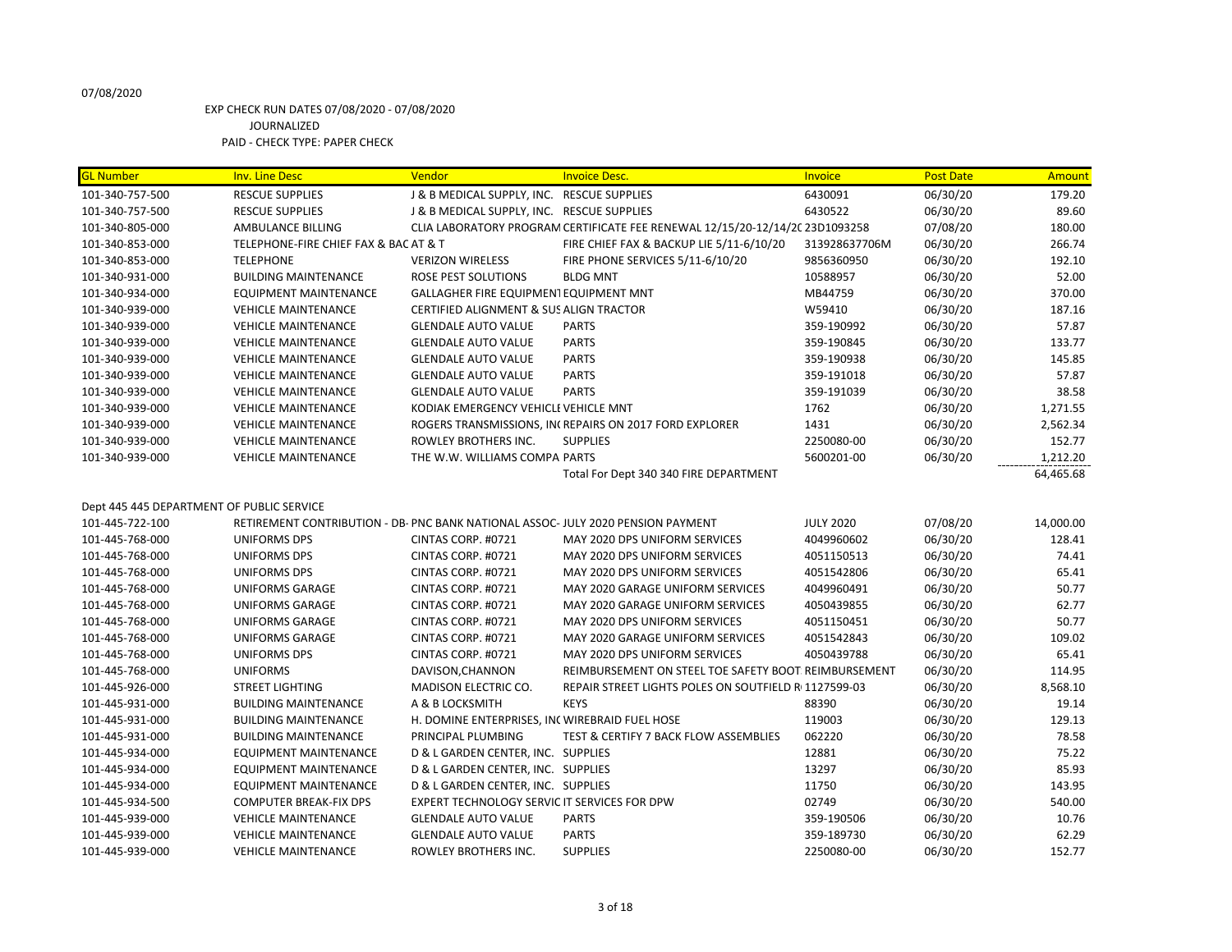# EXP CHECK RUN DATES 07/08/2020 - 07/08/2020 JOURNALIZED

PAID - CHECK TYPE: PAPER CHECK

| <b>GL Number</b>                          | <b>Inv. Line Desc</b>                                                            | Vendor                                         | <b>Invoice Desc.</b>                                                         | Invoice          | <b>Post Date</b> | Amount    |
|-------------------------------------------|----------------------------------------------------------------------------------|------------------------------------------------|------------------------------------------------------------------------------|------------------|------------------|-----------|
| 101-340-757-500                           | <b>RESCUE SUPPLIES</b>                                                           | J & B MEDICAL SUPPLY, INC. RESCUE SUPPLIES     |                                                                              | 6430091          | 06/30/20         | 179.20    |
| 101-340-757-500                           | <b>RESCUE SUPPLIES</b>                                                           | J & B MEDICAL SUPPLY, INC. RESCUE SUPPLIES     |                                                                              | 6430522          | 06/30/20         | 89.60     |
| 101-340-805-000                           | AMBULANCE BILLING                                                                |                                                | CLIA LABORATORY PROGRAM CERTIFICATE FEE RENEWAL 12/15/20-12/14/2C 23D1093258 |                  | 07/08/20         | 180.00    |
| 101-340-853-000                           | TELEPHONE-FIRE CHIEF FAX & BAC AT & T                                            |                                                | FIRE CHIEF FAX & BACKUP LIE 5/11-6/10/20                                     | 313928637706M    | 06/30/20         | 266.74    |
| 101-340-853-000                           | <b>TELEPHONE</b>                                                                 | <b>VERIZON WIRELESS</b>                        | FIRE PHONE SERVICES 5/11-6/10/20                                             | 9856360950       | 06/30/20         | 192.10    |
| 101-340-931-000                           | <b>BUILDING MAINTENANCE</b>                                                      | ROSE PEST SOLUTIONS                            | <b>BLDG MNT</b>                                                              | 10588957         | 06/30/20         | 52.00     |
| 101-340-934-000                           | <b>EQUIPMENT MAINTENANCE</b>                                                     | GALLAGHER FIRE EQUIPMENT EQUIPMENT MNT         |                                                                              | MB44759          | 06/30/20         | 370.00    |
| 101-340-939-000                           | <b>VEHICLE MAINTENANCE</b>                                                       | CERTIFIED ALIGNMENT & SUS ALIGN TRACTOR        |                                                                              | W59410           | 06/30/20         | 187.16    |
| 101-340-939-000                           | <b>VEHICLE MAINTENANCE</b>                                                       | <b>GLENDALE AUTO VALUE</b>                     | <b>PARTS</b>                                                                 | 359-190992       | 06/30/20         | 57.87     |
| 101-340-939-000                           | <b>VEHICLE MAINTENANCE</b>                                                       | <b>GLENDALE AUTO VALUE</b>                     | <b>PARTS</b>                                                                 | 359-190845       | 06/30/20         | 133.77    |
| 101-340-939-000                           | <b>VEHICLE MAINTENANCE</b>                                                       | <b>GLENDALE AUTO VALUE</b>                     | <b>PARTS</b>                                                                 | 359-190938       | 06/30/20         | 145.85    |
| 101-340-939-000                           | <b>VEHICLE MAINTENANCE</b>                                                       | <b>GLENDALE AUTO VALUE</b>                     | <b>PARTS</b>                                                                 | 359-191018       | 06/30/20         | 57.87     |
| 101-340-939-000                           | <b>VEHICLE MAINTENANCE</b>                                                       | <b>GLENDALE AUTO VALUE</b>                     | <b>PARTS</b>                                                                 | 359-191039       | 06/30/20         | 38.58     |
| 101-340-939-000                           | <b>VEHICLE MAINTENANCE</b>                                                       | KODIAK EMERGENCY VEHICLE VEHICLE MNT           |                                                                              | 1762             | 06/30/20         | 1,271.55  |
| 101-340-939-000                           | <b>VEHICLE MAINTENANCE</b>                                                       |                                                | ROGERS TRANSMISSIONS, INCREPAIRS ON 2017 FORD EXPLORER                       | 1431             | 06/30/20         | 2,562.34  |
| 101-340-939-000                           | <b>VEHICLE MAINTENANCE</b>                                                       | ROWLEY BROTHERS INC.                           | <b>SUPPLIES</b>                                                              | 2250080-00       | 06/30/20         | 152.77    |
| 101-340-939-000                           | <b>VEHICLE MAINTENANCE</b>                                                       | THE W.W. WILLIAMS COMPA PARTS                  |                                                                              | 5600201-00       | 06/30/20         | 1,212.20  |
|                                           |                                                                                  |                                                | Total For Dept 340 340 FIRE DEPARTMENT                                       |                  |                  | 64,465.68 |
|                                           |                                                                                  |                                                |                                                                              |                  |                  |           |
| Dept 445 445 DEPARTMENT OF PUBLIC SERVICE |                                                                                  |                                                |                                                                              |                  |                  |           |
| 101-445-722-100                           | RETIREMENT CONTRIBUTION - DB- PNC BANK NATIONAL ASSOC- JULY 2020 PENSION PAYMENT |                                                |                                                                              | <b>JULY 2020</b> | 07/08/20         | 14,000.00 |
| 101-445-768-000                           | <b>UNIFORMS DPS</b>                                                              | CINTAS CORP. #0721                             | MAY 2020 DPS UNIFORM SERVICES                                                | 4049960602       | 06/30/20         | 128.41    |
| 101-445-768-000                           | <b>UNIFORMS DPS</b>                                                              | CINTAS CORP. #0721                             | MAY 2020 DPS UNIFORM SERVICES                                                | 4051150513       | 06/30/20         | 74.41     |
| 101-445-768-000                           | <b>UNIFORMS DPS</b>                                                              | CINTAS CORP. #0721                             | MAY 2020 DPS UNIFORM SERVICES                                                | 4051542806       | 06/30/20         | 65.41     |
| 101-445-768-000                           | <b>UNIFORMS GARAGE</b>                                                           | CINTAS CORP. #0721                             | MAY 2020 GARAGE UNIFORM SERVICES                                             | 4049960491       | 06/30/20         | 50.77     |
| 101-445-768-000                           | <b>UNIFORMS GARAGE</b>                                                           | CINTAS CORP. #0721                             | MAY 2020 GARAGE UNIFORM SERVICES                                             | 4050439855       | 06/30/20         | 62.77     |
| 101-445-768-000                           | <b>UNIFORMS GARAGE</b>                                                           | CINTAS CORP. #0721                             | MAY 2020 DPS UNIFORM SERVICES                                                | 4051150451       | 06/30/20         | 50.77     |
| 101-445-768-000                           | UNIFORMS GARAGE                                                                  | CINTAS CORP. #0721                             | MAY 2020 GARAGE UNIFORM SERVICES                                             | 4051542843       | 06/30/20         | 109.02    |
| 101-445-768-000                           | <b>UNIFORMS DPS</b>                                                              | CINTAS CORP. #0721                             | MAY 2020 DPS UNIFORM SERVICES                                                | 4050439788       | 06/30/20         | 65.41     |
| 101-445-768-000                           | <b>UNIFORMS</b>                                                                  | DAVISON, CHANNON                               | REIMBURSEMENT ON STEEL TOE SAFETY BOOT: REIMBURSEMENT                        |                  | 06/30/20         | 114.95    |
| 101-445-926-000                           | <b>STREET LIGHTING</b>                                                           | MADISON ELECTRIC CO.                           | REPAIR STREET LIGHTS POLES ON SOUTFIELD RI 1127599-03                        |                  | 06/30/20         | 8,568.10  |
| 101-445-931-000                           | <b>BUILDING MAINTENANCE</b>                                                      | A & B LOCKSMITH                                | <b>KEYS</b>                                                                  | 88390            | 06/30/20         | 19.14     |
| 101-445-931-000                           | <b>BUILDING MAINTENANCE</b>                                                      | H. DOMINE ENTERPRISES, INC WIREBRAID FUEL HOSE |                                                                              | 119003           | 06/30/20         | 129.13    |
| 101-445-931-000                           | <b>BUILDING MAINTENANCE</b>                                                      | PRINCIPAL PLUMBING                             | <b>TEST &amp; CERTIFY 7 BACK FLOW ASSEMBLIES</b>                             | 062220           | 06/30/20         | 78.58     |
| 101-445-934-000                           | <b>EQUIPMENT MAINTENANCE</b>                                                     | D & L GARDEN CENTER, INC. SUPPLIES             |                                                                              | 12881            | 06/30/20         | 75.22     |
| 101-445-934-000                           | <b>EQUIPMENT MAINTENANCE</b>                                                     | D & L GARDEN CENTER, INC. SUPPLIES             |                                                                              | 13297            | 06/30/20         | 85.93     |
| 101-445-934-000                           | <b>EQUIPMENT MAINTENANCE</b>                                                     | D & L GARDEN CENTER, INC. SUPPLIES             |                                                                              | 11750            | 06/30/20         | 143.95    |
| 101-445-934-500                           | <b>COMPUTER BREAK-FIX DPS</b>                                                    | EXPERT TECHNOLOGY SERVIC IT SERVICES FOR DPW   |                                                                              | 02749            | 06/30/20         | 540.00    |
| 101-445-939-000                           | <b>VEHICLE MAINTENANCE</b>                                                       | <b>GLENDALE AUTO VALUE</b>                     | <b>PARTS</b>                                                                 | 359-190506       | 06/30/20         | 10.76     |
| 101-445-939-000                           | <b>VEHICLE MAINTENANCE</b>                                                       | <b>GLENDALE AUTO VALUE</b>                     | <b>PARTS</b>                                                                 | 359-189730       | 06/30/20         | 62.29     |
| 101-445-939-000                           | <b>VEHICLE MAINTENANCE</b>                                                       | ROWLEY BROTHERS INC.                           | <b>SUPPLIES</b>                                                              | 2250080-00       | 06/30/20         | 152.77    |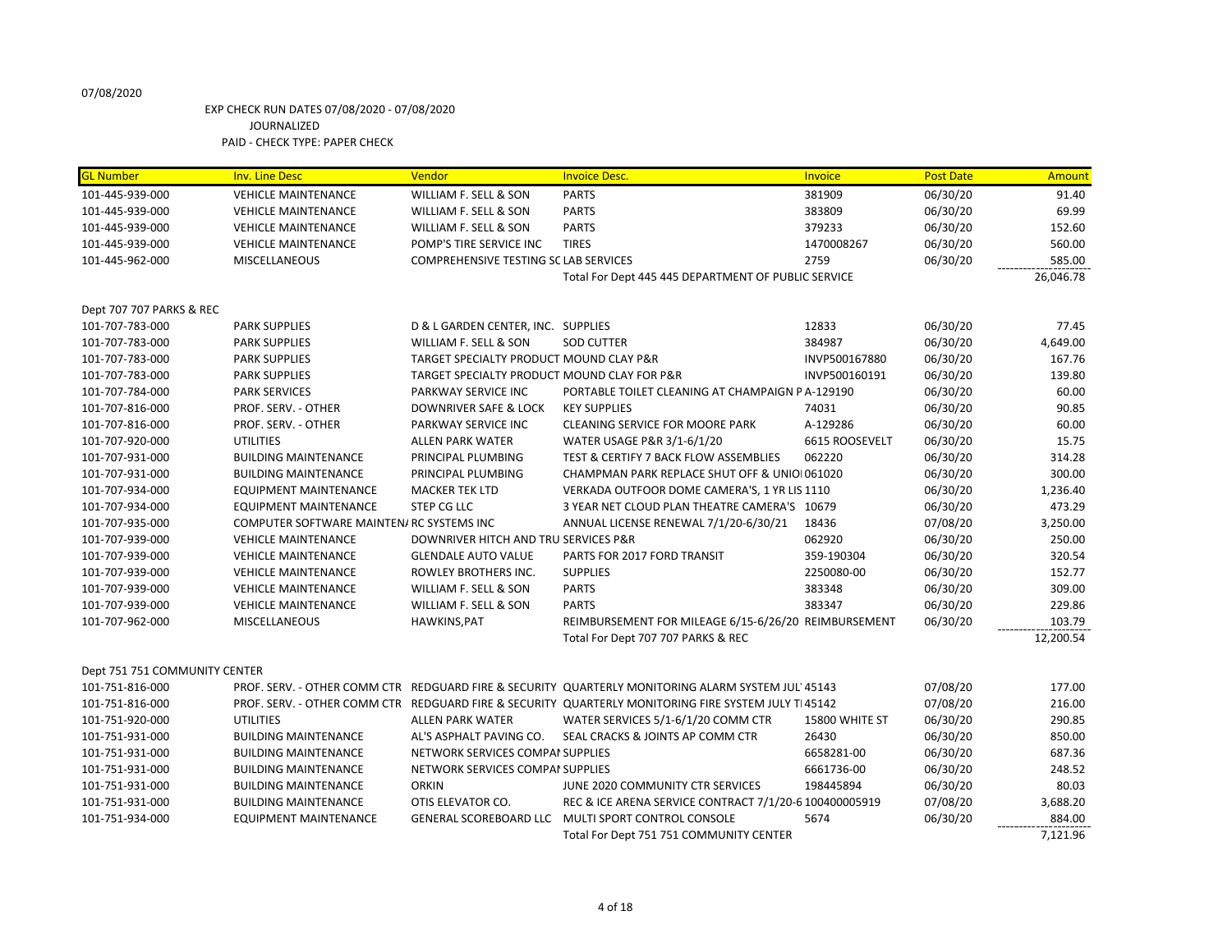| <b>GL Number</b>              | <b>Inv. Line Desc</b>                     | <b>Vendor</b>                                | <b>Invoice Desc.</b>                                                                                | Invoice        | <b>Post Date</b> | Amount    |
|-------------------------------|-------------------------------------------|----------------------------------------------|-----------------------------------------------------------------------------------------------------|----------------|------------------|-----------|
| 101-445-939-000               | <b>VEHICLE MAINTENANCE</b>                | WILLIAM F. SELL & SON                        | <b>PARTS</b>                                                                                        | 381909         | 06/30/20         | 91.40     |
| 101-445-939-000               | <b>VEHICLE MAINTENANCE</b>                | WILLIAM F. SELL & SON                        | <b>PARTS</b>                                                                                        | 383809         | 06/30/20         | 69.99     |
| 101-445-939-000               | <b>VEHICLE MAINTENANCE</b>                | WILLIAM F. SELL & SON                        | <b>PARTS</b>                                                                                        | 379233         | 06/30/20         | 152.60    |
| 101-445-939-000               | <b>VEHICLE MAINTENANCE</b>                | POMP'S TIRE SERVICE INC                      | <b>TIRES</b>                                                                                        | 1470008267     | 06/30/20         | 560.00    |
| 101-445-962-000               | <b>MISCELLANEOUS</b>                      | <b>COMPREHENSIVE TESTING SC LAB SERVICES</b> |                                                                                                     | 2759           | 06/30/20         | 585.00    |
|                               |                                           |                                              | Total For Dept 445 445 DEPARTMENT OF PUBLIC SERVICE                                                 |                |                  | 26,046.78 |
| Dept 707 707 PARKS & REC      |                                           |                                              |                                                                                                     |                |                  |           |
| 101-707-783-000               | <b>PARK SUPPLIES</b>                      | D & L GARDEN CENTER, INC. SUPPLIES           |                                                                                                     | 12833          | 06/30/20         | 77.45     |
| 101-707-783-000               | <b>PARK SUPPLIES</b>                      | WILLIAM F. SELL & SON                        | <b>SOD CUTTER</b>                                                                                   | 384987         | 06/30/20         | 4,649.00  |
| 101-707-783-000               | <b>PARK SUPPLIES</b>                      | TARGET SPECIALTY PRODUCT MOUND CLAY P&R      |                                                                                                     | INVP500167880  | 06/30/20         | 167.76    |
| 101-707-783-000               | <b>PARK SUPPLIES</b>                      | TARGET SPECIALTY PRODUCT MOUND CLAY FOR P&R  |                                                                                                     | INVP500160191  | 06/30/20         | 139.80    |
| 101-707-784-000               | <b>PARK SERVICES</b>                      | PARKWAY SERVICE INC                          | PORTABLE TOILET CLEANING AT CHAMPAIGN PA-129190                                                     |                | 06/30/20         | 60.00     |
| 101-707-816-000               | PROF. SERV. - OTHER                       | DOWNRIVER SAFE & LOCK                        | <b>KEY SUPPLIES</b>                                                                                 | 74031          | 06/30/20         | 90.85     |
| 101-707-816-000               | PROF. SERV. - OTHER                       | PARKWAY SERVICE INC                          | <b>CLEANING SERVICE FOR MOORE PARK</b>                                                              | A-129286       | 06/30/20         | 60.00     |
| 101-707-920-000               | <b>UTILITIES</b>                          | <b>ALLEN PARK WATER</b>                      | WATER USAGE P&R 3/1-6/1/20                                                                          | 6615 ROOSEVELT | 06/30/20         | 15.75     |
| 101-707-931-000               | <b>BUILDING MAINTENANCE</b>               | PRINCIPAL PLUMBING                           | TEST & CERTIFY 7 BACK FLOW ASSEMBLIES                                                               | 062220         | 06/30/20         | 314.28    |
| 101-707-931-000               | <b>BUILDING MAINTENANCE</b>               | PRINCIPAL PLUMBING                           | CHAMPMAN PARK REPLACE SHUT OFF & UNIOI 061020                                                       |                | 06/30/20         | 300.00    |
| 101-707-934-000               | <b>EQUIPMENT MAINTENANCE</b>              | <b>MACKER TEK LTD</b>                        | VERKADA OUTFOOR DOME CAMERA'S, 1 YR LIS 1110                                                        |                | 06/30/20         | 1,236.40  |
| 101-707-934-000               | <b>EQUIPMENT MAINTENANCE</b>              | <b>STEP CG LLC</b>                           | 3 YEAR NET CLOUD PLAN THEATRE CAMERA'S 10679                                                        |                | 06/30/20         | 473.29    |
| 101-707-935-000               | COMPUTER SOFTWARE MAINTEN/ RC SYSTEMS INC |                                              | ANNUAL LICENSE RENEWAL 7/1/20-6/30/21                                                               | 18436          | 07/08/20         | 3,250.00  |
| 101-707-939-000               | <b>VEHICLE MAINTENANCE</b>                | DOWNRIVER HITCH AND TRU SERVICES P&R         |                                                                                                     | 062920         | 06/30/20         | 250.00    |
| 101-707-939-000               | <b>VEHICLE MAINTENANCE</b>                | <b>GLENDALE AUTO VALUE</b>                   | PARTS FOR 2017 FORD TRANSIT                                                                         | 359-190304     | 06/30/20         | 320.54    |
| 101-707-939-000               | <b>VEHICLE MAINTENANCE</b>                | ROWLEY BROTHERS INC.                         | <b>SUPPLIES</b>                                                                                     | 2250080-00     | 06/30/20         | 152.77    |
| 101-707-939-000               | <b>VEHICLE MAINTENANCE</b>                | WILLIAM F. SELL & SON                        | <b>PARTS</b>                                                                                        | 383348         | 06/30/20         | 309.00    |
| 101-707-939-000               | <b>VEHICLE MAINTENANCE</b>                | WILLIAM F. SELL & SON                        | <b>PARTS</b>                                                                                        | 383347         | 06/30/20         | 229.86    |
| 101-707-962-000               | <b>MISCELLANEOUS</b>                      | HAWKINS, PAT                                 | REIMBURSEMENT FOR MILEAGE 6/15-6/26/20 REIMBURSEMENT                                                |                | 06/30/20         | 103.79    |
|                               |                                           |                                              | Total For Dept 707 707 PARKS & REC                                                                  |                |                  | 12,200.54 |
| Dept 751 751 COMMUNITY CENTER |                                           |                                              |                                                                                                     |                |                  |           |
| 101-751-816-000               |                                           |                                              | PROF. SERV. - OTHER COMM CTR REDGUARD FIRE & SECURITY QUARTERLY MONITORING ALARM SYSTEM JUL' 45143  |                | 07/08/20         | 177.00    |
| 101-751-816-000               |                                           |                                              | PROF. SERV. - OTHER COMM CTR REDGUARD FIRE & SECURITY QUARTERLY MONITORING FIRE SYSTEM JULY TI45142 |                | 07/08/20         | 216.00    |
| 101-751-920-000               | <b>UTILITIES</b>                          | <b>ALLEN PARK WATER</b>                      | WATER SERVICES 5/1-6/1/20 COMM CTR                                                                  | 15800 WHITE ST | 06/30/20         | 290.85    |
| 101-751-931-000               | <b>BUILDING MAINTENANCE</b>               | AL'S ASPHALT PAVING CO.                      | SEAL CRACKS & JOINTS AP COMM CTR                                                                    | 26430          | 06/30/20         | 850.00    |
| 101-751-931-000               | <b>BUILDING MAINTENANCE</b>               | NETWORK SERVICES COMPAI SUPPLIES             |                                                                                                     | 6658281-00     | 06/30/20         | 687.36    |
| 101-751-931-000               | <b>BUILDING MAINTENANCE</b>               | NETWORK SERVICES COMPAI SUPPLIES             |                                                                                                     | 6661736-00     | 06/30/20         | 248.52    |
| 101-751-931-000               | <b>BUILDING MAINTENANCE</b>               | <b>ORKIN</b>                                 | JUNE 2020 COMMUNITY CTR SERVICES                                                                    | 198445894      | 06/30/20         | 80.03     |
| 101-751-931-000               | <b>BUILDING MAINTENANCE</b>               | OTIS ELEVATOR CO.                            | REC & ICE ARENA SERVICE CONTRACT 7/1/20-6 100400005919                                              |                | 07/08/20         | 3,688.20  |
| 101-751-934-000               | <b>EQUIPMENT MAINTENANCE</b>              | <b>GENERAL SCOREBOARD LLC</b>                | MULTI SPORT CONTROL CONSOLE                                                                         | 5674           | 06/30/20         | 884.00    |
|                               |                                           |                                              | Total For Dept 751 751 COMMUNITY CENTER                                                             |                |                  | 7,121.96  |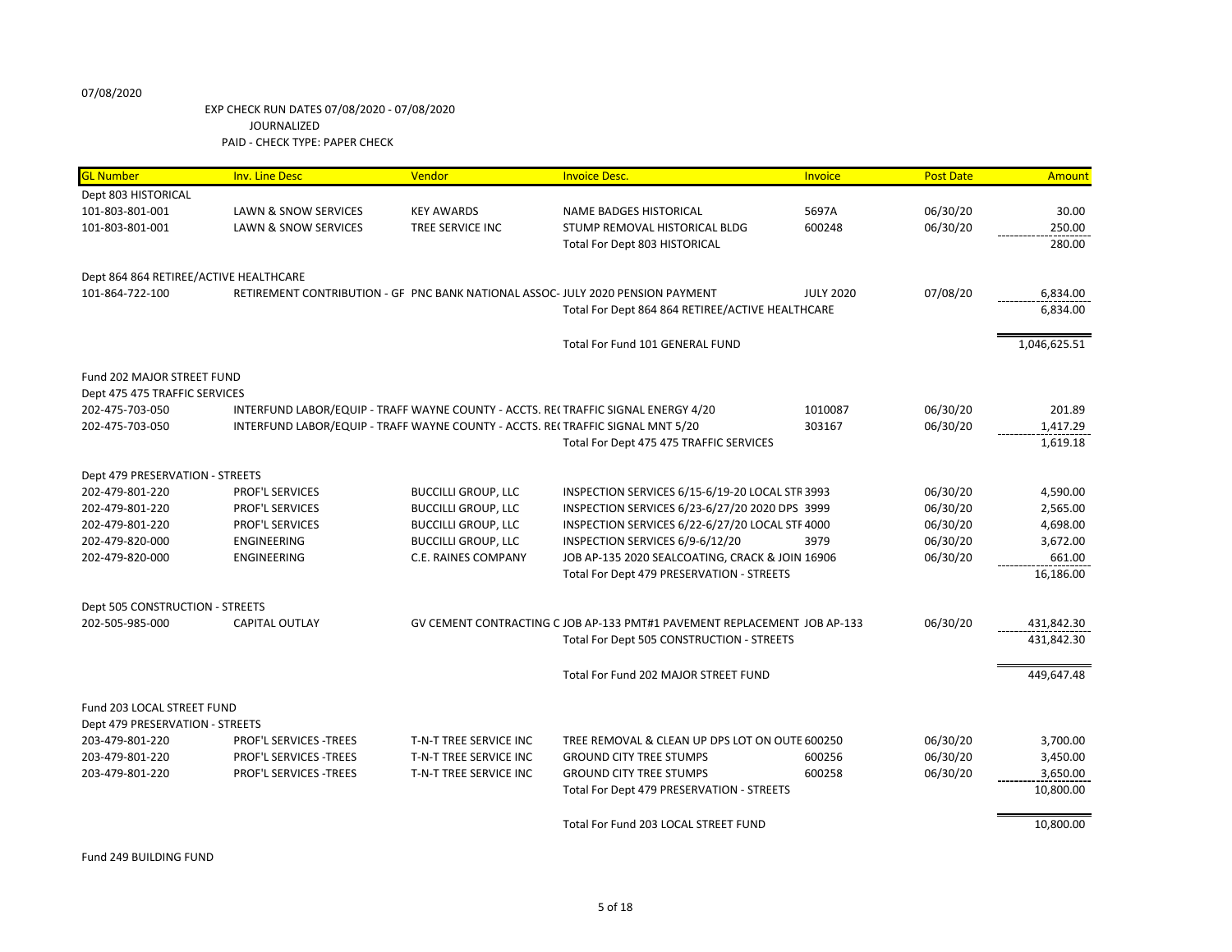| <b>GL Number</b>                                   | <b>Inv. Line Desc</b>           | Vendor                                                                          | <b>Invoice Desc.</b>                                                              | Invoice          | <b>Post Date</b> | Amount       |
|----------------------------------------------------|---------------------------------|---------------------------------------------------------------------------------|-----------------------------------------------------------------------------------|------------------|------------------|--------------|
| Dept 803 HISTORICAL                                |                                 |                                                                                 |                                                                                   |                  |                  |              |
| 101-803-801-001                                    | <b>LAWN &amp; SNOW SERVICES</b> | <b>KEY AWARDS</b>                                                               | NAME BADGES HISTORICAL                                                            | 5697A            | 06/30/20         | 30.00        |
| 101-803-801-001                                    | <b>LAWN &amp; SNOW SERVICES</b> | TREE SERVICE INC                                                                | STUMP REMOVAL HISTORICAL BLDG                                                     | 600248           | 06/30/20         | 250.00       |
|                                                    |                                 |                                                                                 | <b>Total For Dept 803 HISTORICAL</b>                                              |                  |                  | 280.00       |
|                                                    |                                 |                                                                                 |                                                                                   |                  |                  |              |
| Dept 864 864 RETIREE/ACTIVE HEALTHCARE             |                                 |                                                                                 |                                                                                   |                  |                  |              |
| 101-864-722-100                                    |                                 |                                                                                 | RETIREMENT CONTRIBUTION - GF PNC BANK NATIONAL ASSOC- JULY 2020 PENSION PAYMENT   | <b>JULY 2020</b> | 07/08/20         | 6,834.00     |
|                                                    |                                 |                                                                                 | Total For Dept 864 864 RETIREE/ACTIVE HEALTHCARE                                  |                  |                  | 6,834.00     |
|                                                    |                                 |                                                                                 |                                                                                   |                  |                  |              |
|                                                    |                                 |                                                                                 | Total For Fund 101 GENERAL FUND                                                   |                  |                  | 1,046,625.51 |
| Fund 202 MAJOR STREET FUND                         |                                 |                                                                                 |                                                                                   |                  |                  |              |
| Dept 475 475 TRAFFIC SERVICES                      |                                 |                                                                                 |                                                                                   |                  |                  |              |
| 202-475-703-050                                    |                                 |                                                                                 | INTERFUND LABOR/EQUIP - TRAFF WAYNE COUNTY - ACCTS. RE(TRAFFIC SIGNAL ENERGY 4/20 | 1010087          | 06/30/20         | 201.89       |
| 202-475-703-050                                    |                                 | INTERFUND LABOR/EQUIP - TRAFF WAYNE COUNTY - ACCTS. REI TRAFFIC SIGNAL MNT 5/20 |                                                                                   | 303167           | 06/30/20         | 1,417.29     |
|                                                    |                                 |                                                                                 | Total For Dept 475 475 TRAFFIC SERVICES                                           |                  |                  | 1,619.18     |
|                                                    |                                 |                                                                                 |                                                                                   |                  |                  |              |
| Dept 479 PRESERVATION - STREETS                    |                                 |                                                                                 |                                                                                   |                  |                  |              |
| 202-479-801-220                                    | <b>PROF'L SERVICES</b>          | <b>BUCCILLI GROUP, LLC</b>                                                      | INSPECTION SERVICES 6/15-6/19-20 LOCAL STR 3993                                   |                  | 06/30/20         | 4,590.00     |
| 202-479-801-220                                    | PROF'L SERVICES                 | <b>BUCCILLI GROUP, LLC</b>                                                      | INSPECTION SERVICES 6/23-6/27/20 2020 DPS 3999                                    |                  | 06/30/20         | 2,565.00     |
| 202-479-801-220                                    | PROF'L SERVICES                 | <b>BUCCILLI GROUP, LLC</b>                                                      | INSPECTION SERVICES 6/22-6/27/20 LOCAL STF 4000                                   |                  | 06/30/20         | 4,698.00     |
| 202-479-820-000                                    | <b>ENGINEERING</b>              | <b>BUCCILLI GROUP, LLC</b>                                                      | INSPECTION SERVICES 6/9-6/12/20                                                   | 3979             | 06/30/20         | 3,672.00     |
| 202-479-820-000                                    | <b>ENGINEERING</b>              | <b>C.E. RAINES COMPANY</b>                                                      | JOB AP-135 2020 SEALCOATING, CRACK & JOIN 16906                                   |                  | 06/30/20         | 661.00       |
|                                                    |                                 |                                                                                 | Total For Dept 479 PRESERVATION - STREETS                                         |                  |                  | 16,186.00    |
|                                                    |                                 |                                                                                 |                                                                                   |                  |                  |              |
| Dept 505 CONSTRUCTION - STREETS<br>202-505-985-000 | CAPITAL OUTLAY                  |                                                                                 | GV CEMENT CONTRACTING C JOB AP-133 PMT#1 PAVEMENT REPLACEMENT JOB AP-133          |                  | 06/30/20         | 431,842.30   |
|                                                    |                                 |                                                                                 | Total For Dept 505 CONSTRUCTION - STREETS                                         |                  |                  | 431,842.30   |
|                                                    |                                 |                                                                                 |                                                                                   |                  |                  |              |
|                                                    |                                 |                                                                                 | Total For Fund 202 MAJOR STREET FUND                                              |                  |                  | 449,647.48   |
|                                                    |                                 |                                                                                 |                                                                                   |                  |                  |              |
| Fund 203 LOCAL STREET FUND                         |                                 |                                                                                 |                                                                                   |                  |                  |              |
| Dept 479 PRESERVATION - STREETS                    |                                 |                                                                                 |                                                                                   |                  |                  |              |
| 203-479-801-220                                    | <b>PROF'L SERVICES -TREES</b>   | T-N-T TREE SERVICE INC                                                          | TREE REMOVAL & CLEAN UP DPS LOT ON OUTE 600250                                    |                  | 06/30/20         | 3,700.00     |
| 203-479-801-220                                    | PROF'L SERVICES -TREES          | T-N-T TREE SERVICE INC                                                          | <b>GROUND CITY TREE STUMPS</b>                                                    | 600256           | 06/30/20         | 3,450.00     |
| 203-479-801-220                                    | PROF'L SERVICES -TREES          | T-N-T TREE SERVICE INC                                                          | <b>GROUND CITY TREE STUMPS</b>                                                    | 600258           | 06/30/20         | 3,650.00     |
|                                                    |                                 |                                                                                 | Total For Dept 479 PRESERVATION - STREETS                                         |                  |                  | 10,800.00    |
|                                                    |                                 |                                                                                 | Total For Fund 203 LOCAL STREET FUND                                              |                  |                  | 10,800.00    |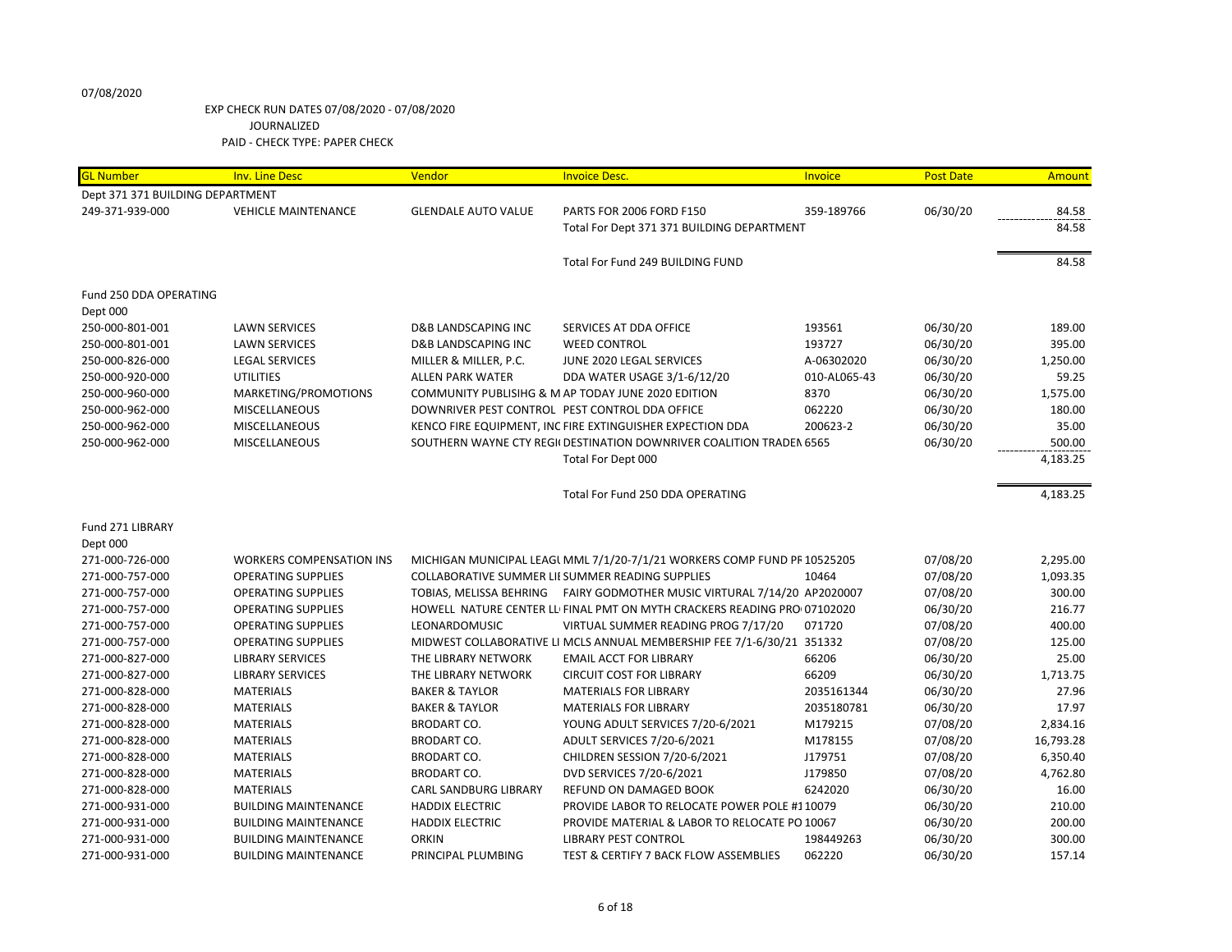| <b>GL Number</b>                 | <b>Inv. Line Desc</b>           | Vendor                                         | <b>Invoice Desc.</b>                                                     | Invoice      | <b>Post Date</b> | Amount    |
|----------------------------------|---------------------------------|------------------------------------------------|--------------------------------------------------------------------------|--------------|------------------|-----------|
| Dept 371 371 BUILDING DEPARTMENT |                                 |                                                |                                                                          |              |                  |           |
| 249-371-939-000                  | <b>VEHICLE MAINTENANCE</b>      | <b>GLENDALE AUTO VALUE</b>                     | PARTS FOR 2006 FORD F150                                                 | 359-189766   | 06/30/20         | 84.58     |
|                                  |                                 |                                                | Total For Dept 371 371 BUILDING DEPARTMENT                               |              |                  | 84.58     |
|                                  |                                 |                                                |                                                                          |              |                  |           |
|                                  |                                 |                                                | Total For Fund 249 BUILDING FUND                                         |              |                  | 84.58     |
| Fund 250 DDA OPERATING           |                                 |                                                |                                                                          |              |                  |           |
| Dept 000                         |                                 |                                                |                                                                          |              |                  |           |
| 250-000-801-001                  | <b>LAWN SERVICES</b>            | <b>D&amp;B LANDSCAPING INC</b>                 | SERVICES AT DDA OFFICE                                                   | 193561       | 06/30/20         | 189.00    |
| 250-000-801-001                  | <b>LAWN SERVICES</b>            | D&B LANDSCAPING INC                            | <b>WEED CONTROL</b>                                                      | 193727       | 06/30/20         | 395.00    |
| 250-000-826-000                  | <b>LEGAL SERVICES</b>           | MILLER & MILLER, P.C.                          | JUNE 2020 LEGAL SERVICES                                                 | A-06302020   | 06/30/20         | 1,250.00  |
| 250-000-920-000                  | <b>UTILITIES</b>                | <b>ALLEN PARK WATER</b>                        | DDA WATER USAGE 3/1-6/12/20                                              | 010-AL065-43 | 06/30/20         | 59.25     |
| 250-000-960-000                  | MARKETING/PROMOTIONS            |                                                | COMMUNITY PUBLISIHG & M AP TODAY JUNE 2020 EDITION                       | 8370         | 06/30/20         | 1,575.00  |
| 250-000-962-000                  | <b>MISCELLANEOUS</b>            | DOWNRIVER PEST CONTROL PEST CONTROL DDA OFFICE |                                                                          | 062220       | 06/30/20         | 180.00    |
| 250-000-962-000                  | MISCELLANEOUS                   |                                                | KENCO FIRE EQUIPMENT, INC FIRE EXTINGUISHER EXPECTION DDA                | 200623-2     | 06/30/20         | 35.00     |
| 250-000-962-000                  | <b>MISCELLANEOUS</b>            |                                                | SOUTHERN WAYNE CTY REGII DESTINATION DOWNRIVER COALITION TRADEN 6565     |              | 06/30/20         | 500.00    |
|                                  |                                 |                                                | Total For Dept 000                                                       |              |                  | 4,183.25  |
|                                  |                                 |                                                | Total For Fund 250 DDA OPERATING                                         |              |                  | 4,183.25  |
|                                  |                                 |                                                |                                                                          |              |                  |           |
| Fund 271 LIBRARY                 |                                 |                                                |                                                                          |              |                  |           |
| Dept 000                         |                                 |                                                |                                                                          |              |                  |           |
| 271-000-726-000                  | <b>WORKERS COMPENSATION INS</b> |                                                | MICHIGAN MUNICIPAL LEAGL MML 7/1/20-7/1/21 WORKERS COMP FUND PR 10525205 |              | 07/08/20         | 2,295.00  |
| 271-000-757-000                  | <b>OPERATING SUPPLIES</b>       |                                                | COLLABORATIVE SUMMER LII SUMMER READING SUPPLIES                         | 10464        | 07/08/20         | 1,093.35  |
| 271-000-757-000                  | <b>OPERATING SUPPLIES</b>       |                                                | TOBIAS, MELISSA BEHRING FAIRY GODMOTHER MUSIC VIRTURAL 7/14/20 AP2020007 |              | 07/08/20         | 300.00    |
| 271-000-757-000                  | <b>OPERATING SUPPLIES</b>       |                                                | HOWELL NATURE CENTER LL FINAL PMT ON MYTH CRACKERS READING PRO 07102020  |              | 06/30/20         | 216.77    |
| 271-000-757-000                  | <b>OPERATING SUPPLIES</b>       | LEONARDOMUSIC                                  | VIRTUAL SUMMER READING PROG 7/17/20                                      | 071720       | 07/08/20         | 400.00    |
| 271-000-757-000                  | <b>OPERATING SUPPLIES</b>       |                                                | MIDWEST COLLABORATIVE LI MCLS ANNUAL MEMBERSHIP FEE 7/1-6/30/21 351332   |              | 07/08/20         | 125.00    |
| 271-000-827-000                  | <b>LIBRARY SERVICES</b>         | THE LIBRARY NETWORK                            | <b>EMAIL ACCT FOR LIBRARY</b>                                            | 66206        | 06/30/20         | 25.00     |
| 271-000-827-000                  | <b>LIBRARY SERVICES</b>         | THE LIBRARY NETWORK                            | <b>CIRCUIT COST FOR LIBRARY</b>                                          | 66209        | 06/30/20         | 1,713.75  |
| 271-000-828-000                  | <b>MATERIALS</b>                | <b>BAKER &amp; TAYLOR</b>                      | <b>MATERIALS FOR LIBRARY</b>                                             | 2035161344   | 06/30/20         | 27.96     |
| 271-000-828-000                  | <b>MATERIALS</b>                | <b>BAKER &amp; TAYLOR</b>                      | <b>MATERIALS FOR LIBRARY</b>                                             | 2035180781   | 06/30/20         | 17.97     |
| 271-000-828-000                  | <b>MATERIALS</b>                | <b>BRODART CO.</b>                             | YOUNG ADULT SERVICES 7/20-6/2021                                         | M179215      | 07/08/20         | 2,834.16  |
| 271-000-828-000                  | <b>MATERIALS</b>                | <b>BRODART CO.</b>                             | ADULT SERVICES 7/20-6/2021                                               | M178155      | 07/08/20         | 16,793.28 |
| 271-000-828-000                  | <b>MATERIALS</b>                | <b>BRODART CO.</b>                             | CHILDREN SESSION 7/20-6/2021                                             | J179751      | 07/08/20         | 6,350.40  |
| 271-000-828-000                  | <b>MATERIALS</b>                | <b>BRODART CO.</b>                             | DVD SERVICES 7/20-6/2021                                                 | J179850      | 07/08/20         | 4,762.80  |
| 271-000-828-000                  | <b>MATERIALS</b>                | <b>CARL SANDBURG LIBRARY</b>                   | <b>REFUND ON DAMAGED BOOK</b>                                            | 6242020      | 06/30/20         | 16.00     |
| 271-000-931-000                  | <b>BUILDING MAINTENANCE</b>     | <b>HADDIX ELECTRIC</b>                         | PROVIDE LABOR TO RELOCATE POWER POLE #110079                             |              | 06/30/20         | 210.00    |
| 271-000-931-000                  | <b>BUILDING MAINTENANCE</b>     | <b>HADDIX ELECTRIC</b>                         | PROVIDE MATERIAL & LABOR TO RELOCATE PO 10067                            |              | 06/30/20         | 200.00    |
| 271-000-931-000                  | <b>BUILDING MAINTENANCE</b>     | <b>ORKIN</b>                                   | <b>LIBRARY PEST CONTROL</b>                                              | 198449263    | 06/30/20         | 300.00    |
| 271-000-931-000                  | <b>BUILDING MAINTENANCE</b>     | PRINCIPAL PLUMBING                             | TEST & CERTIFY 7 BACK FLOW ASSEMBLIES                                    | 062220       | 06/30/20         | 157.14    |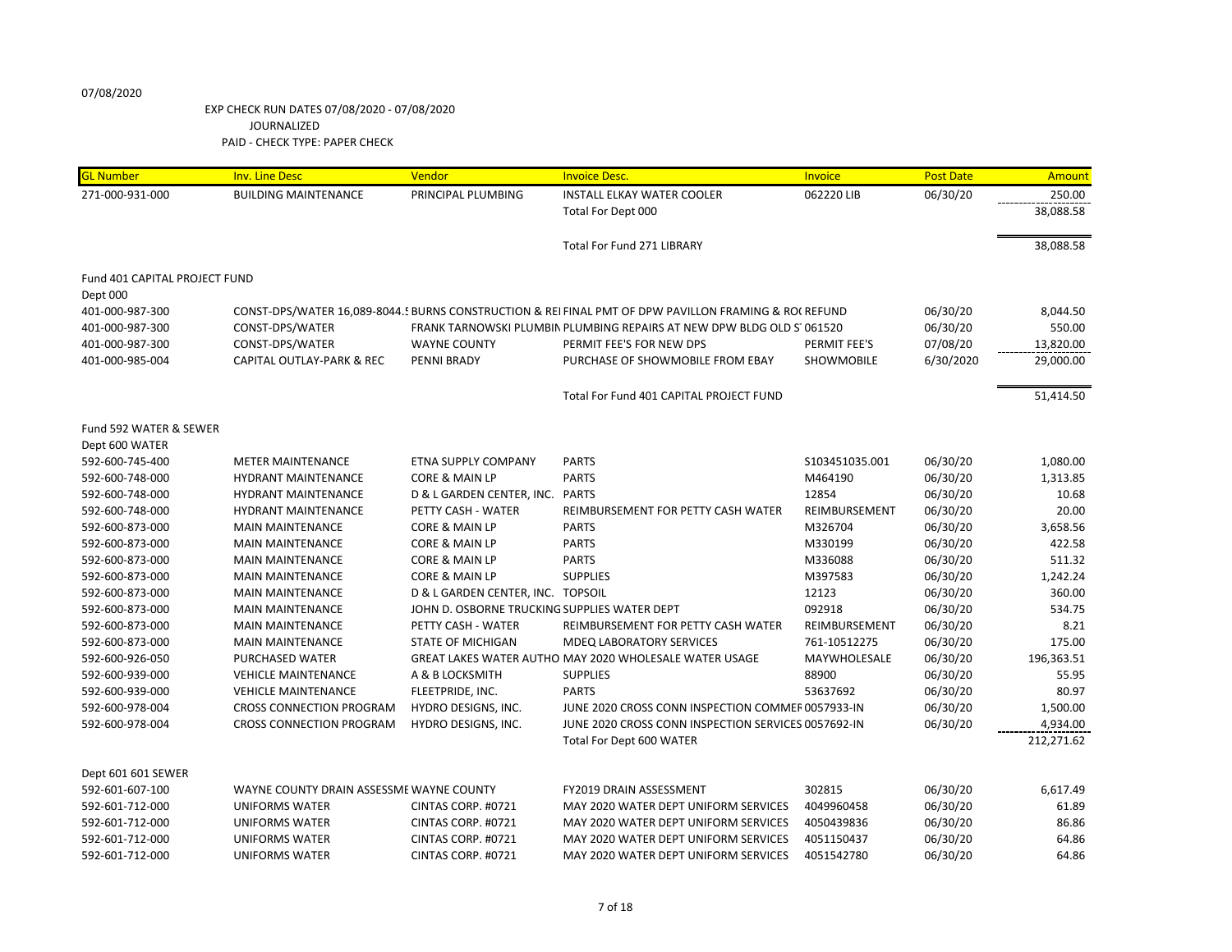| <b>GL Number</b>              | <b>Inv. Line Desc</b>                    | Vendor                                       | <b>Invoice Desc.</b>                                                                                  | <b>Invoice</b>  | <b>Post Date</b> | Amount     |
|-------------------------------|------------------------------------------|----------------------------------------------|-------------------------------------------------------------------------------------------------------|-----------------|------------------|------------|
| 271-000-931-000               | <b>BUILDING MAINTENANCE</b>              | PRINCIPAL PLUMBING                           | <b>INSTALL ELKAY WATER COOLER</b>                                                                     | 062220 LIB      | 06/30/20         | 250.00     |
|                               |                                          |                                              | Total For Dept 000                                                                                    |                 |                  | 38,088.58  |
|                               |                                          |                                              |                                                                                                       |                 |                  |            |
|                               |                                          |                                              | <b>Total For Fund 271 LIBRARY</b>                                                                     |                 |                  | 38,088.58  |
| Fund 401 CAPITAL PROJECT FUND |                                          |                                              |                                                                                                       |                 |                  |            |
| Dept 000                      |                                          |                                              |                                                                                                       |                 |                  |            |
| 401-000-987-300               |                                          |                                              | CONST-DPS/WATER 16,089-8044.5 BURNS CONSTRUCTION & REI FINAL PMT OF DPW PAVILLON FRAMING & RO( REFUND |                 | 06/30/20         | 8,044.50   |
| 401-000-987-300               | CONST-DPS/WATER                          |                                              | FRANK TARNOWSKI PLUMBIN PLUMBING REPAIRS AT NEW DPW BLDG OLD S1061520                                 |                 | 06/30/20         | 550.00     |
| 401-000-987-300               | CONST-DPS/WATER                          | <b>WAYNE COUNTY</b>                          | PERMIT FEE'S FOR NEW DPS                                                                              | PERMIT FEE'S    | 07/08/20         | 13,820.00  |
| 401-000-985-004               | CAPITAL OUTLAY-PARK & REC                | PENNI BRADY                                  | PURCHASE OF SHOWMOBILE FROM EBAY                                                                      | SHOWMOBILE      | 6/30/2020        | 29,000.00  |
|                               |                                          |                                              |                                                                                                       |                 |                  |            |
|                               |                                          |                                              | Total For Fund 401 CAPITAL PROJECT FUND                                                               |                 |                  | 51,414.50  |
| Fund 592 WATER & SEWER        |                                          |                                              |                                                                                                       |                 |                  |            |
| Dept 600 WATER                |                                          |                                              |                                                                                                       |                 |                  |            |
| 592-600-745-400               | <b>METER MAINTENANCE</b>                 | ETNA SUPPLY COMPANY                          | <b>PARTS</b>                                                                                          | \$103451035.001 | 06/30/20         | 1,080.00   |
| 592-600-748-000               | <b>HYDRANT MAINTENANCE</b>               | CORE & MAIN LP                               | <b>PARTS</b>                                                                                          | M464190         | 06/30/20         | 1,313.85   |
| 592-600-748-000               | <b>HYDRANT MAINTENANCE</b>               | D & L GARDEN CENTER, INC.                    | <b>PARTS</b>                                                                                          | 12854           | 06/30/20         | 10.68      |
| 592-600-748-000               | <b>HYDRANT MAINTENANCE</b>               | PETTY CASH - WATER                           | REIMBURSEMENT FOR PETTY CASH WATER                                                                    | REIMBURSEMENT   | 06/30/20         | 20.00      |
| 592-600-873-000               | <b>MAIN MAINTENANCE</b>                  | CORE & MAIN LP                               | <b>PARTS</b>                                                                                          | M326704         | 06/30/20         | 3,658.56   |
| 592-600-873-000               | <b>MAIN MAINTENANCE</b>                  | CORE & MAIN LP                               | <b>PARTS</b>                                                                                          | M330199         | 06/30/20         | 422.58     |
| 592-600-873-000               | <b>MAIN MAINTENANCE</b>                  | CORE & MAIN LP                               | <b>PARTS</b>                                                                                          | M336088         | 06/30/20         | 511.32     |
| 592-600-873-000               | <b>MAIN MAINTENANCE</b>                  | CORE & MAIN LP                               | <b>SUPPLIES</b>                                                                                       | M397583         | 06/30/20         | 1,242.24   |
| 592-600-873-000               | <b>MAIN MAINTENANCE</b>                  | D & L GARDEN CENTER, INC. TOPSOIL            |                                                                                                       | 12123           | 06/30/20         | 360.00     |
| 592-600-873-000               | <b>MAIN MAINTENANCE</b>                  | JOHN D. OSBORNE TRUCKING SUPPLIES WATER DEPT |                                                                                                       | 092918          | 06/30/20         | 534.75     |
| 592-600-873-000               | <b>MAIN MAINTENANCE</b>                  | PETTY CASH - WATER                           | REIMBURSEMENT FOR PETTY CASH WATER                                                                    | REIMBURSEMENT   | 06/30/20         | 8.21       |
| 592-600-873-000               | <b>MAIN MAINTENANCE</b>                  | STATE OF MICHIGAN                            | <b>MDEQ LABORATORY SERVICES</b>                                                                       | 761-10512275    | 06/30/20         | 175.00     |
| 592-600-926-050               | PURCHASED WATER                          |                                              | GREAT LAKES WATER AUTHO MAY 2020 WHOLESALE WATER USAGE                                                | MAYWHOLESALE    | 06/30/20         | 196,363.51 |
| 592-600-939-000               | <b>VEHICLE MAINTENANCE</b>               | A & B LOCKSMITH                              | <b>SUPPLIES</b>                                                                                       | 88900           | 06/30/20         | 55.95      |
| 592-600-939-000               | <b>VEHICLE MAINTENANCE</b>               | FLEETPRIDE, INC.                             | <b>PARTS</b>                                                                                          | 53637692        | 06/30/20         | 80.97      |
| 592-600-978-004               | <b>CROSS CONNECTION PROGRAM</b>          | HYDRO DESIGNS, INC.                          | JUNE 2020 CROSS CONN INSPECTION COMMER 0057933-IN                                                     |                 | 06/30/20         | 1,500.00   |
| 592-600-978-004               | <b>CROSS CONNECTION PROGRAM</b>          | HYDRO DESIGNS, INC.                          | JUNE 2020 CROSS CONN INSPECTION SERVICES 0057692-IN                                                   |                 | 06/30/20         | 4,934.00   |
|                               |                                          |                                              | Total For Dept 600 WATER                                                                              |                 |                  | 212,271.62 |
|                               |                                          |                                              |                                                                                                       |                 |                  |            |
| Dept 601 601 SEWER            |                                          |                                              |                                                                                                       |                 |                  |            |
| 592-601-607-100               | WAYNE COUNTY DRAIN ASSESSME WAYNE COUNTY |                                              | FY2019 DRAIN ASSESSMENT                                                                               | 302815          | 06/30/20         | 6,617.49   |
| 592-601-712-000               | <b>UNIFORMS WATER</b>                    | CINTAS CORP. #0721                           | MAY 2020 WATER DEPT UNIFORM SERVICES                                                                  | 4049960458      | 06/30/20         | 61.89      |
| 592-601-712-000               | <b>UNIFORMS WATER</b>                    | CINTAS CORP. #0721                           | MAY 2020 WATER DEPT UNIFORM SERVICES                                                                  | 4050439836      | 06/30/20         | 86.86      |
| 592-601-712-000               | <b>UNIFORMS WATER</b>                    | CINTAS CORP. #0721                           | MAY 2020 WATER DEPT UNIFORM SERVICES                                                                  | 4051150437      | 06/30/20         | 64.86      |
| 592-601-712-000               | <b>UNIFORMS WATER</b>                    | CINTAS CORP. #0721                           | MAY 2020 WATER DEPT UNIFORM SERVICES                                                                  | 4051542780      | 06/30/20         | 64.86      |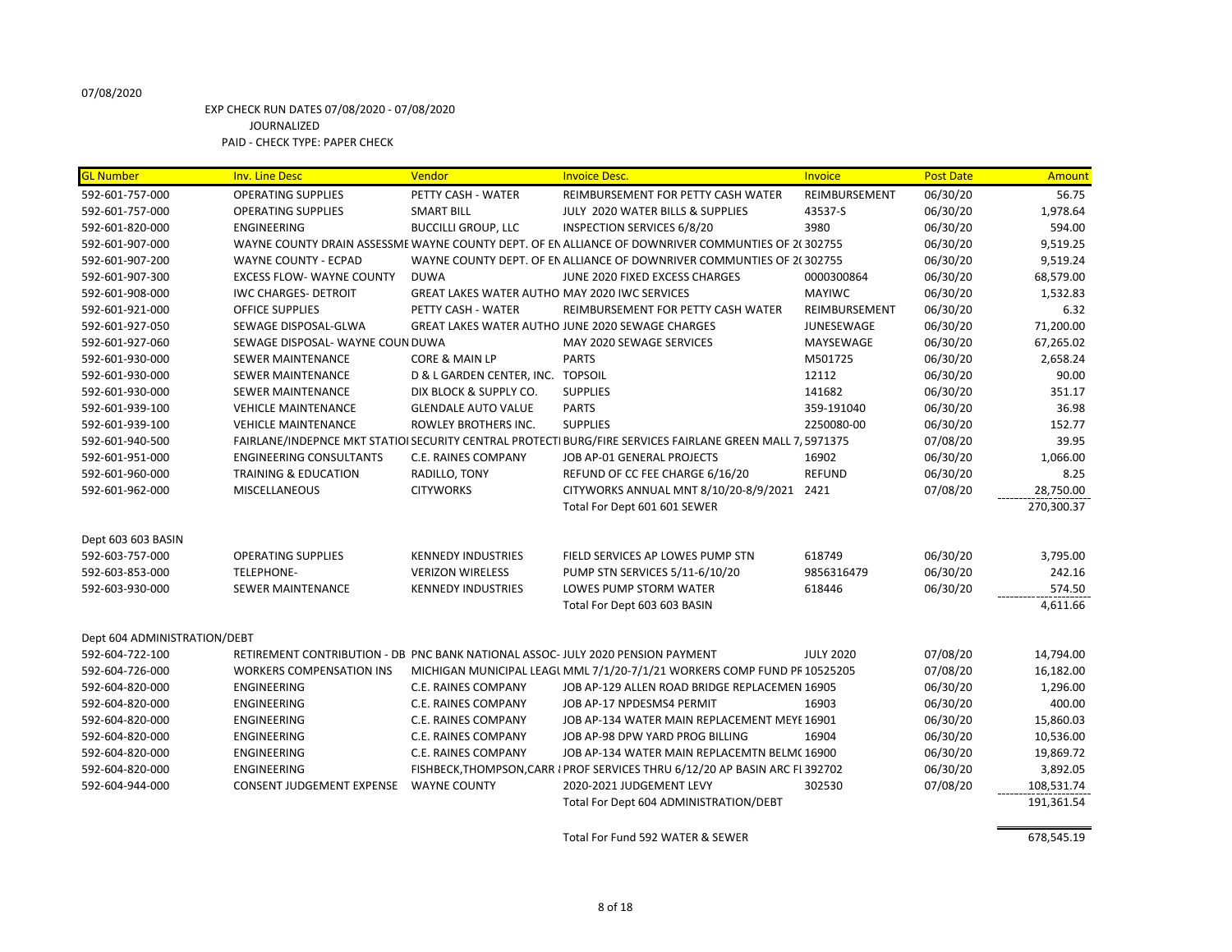#### EXP CHECK RUN DATES 07/08/2020 - 07/08/2020 JOURNALIZED PAID - CHECK TYPE: PAPER CHECK

GL Number **Inv. Line Desc** Vendor **Invoice Desc.** Invoice Desc. Invoice Desc. Invoice Amount Post Date Amount 592-601-757-000 OPERATING SUPPLIES PETTY CASH - WATER REIMBURSEMENT FOR PETTY CASH WATER REIMBURSEMENT 06/30/20 56.75 592-601-757-000 OPERATING SUPPLIES SMART BILL JULY 2020 WATER BILLS & SUPPLIES 43537-S 06/30/20 1,978.64 592-601-820-000 ENGINEERING BUCCILLI GROUP, LLC INSPECTION SERVICES 6/8/20 3980 06/30/20 594.00 592-601-907-000 WAYNE COUNTY DRAIN ASSESSME WAYNE COUNTY DEPT. OF EN ALLIANCE OF DOWNRIVER COMMUNTIES OF 2(302755 06/30/20 9,519.25 592-601-907-200 WAYNE COUNTY - ECPAD WAYNE COUNTY DEPT. OF EN ALLIANCE OF DOWNRIVER COMMUNTIES OF 2(302755 06/30/20 9,519.24 592-601-907-300 EXCESS FLOW- WAYNE COUNTY DUWA JUNE 2020 FIXED EXCESS CHARGES 0000300864 06/30/20 68,579.00 592-601-908-000 IWC CHARGES- DETROIT GREAT LAKES WATER AUTHO MAY 2020 IWC SERVICES MAYIWC 66/30/20 1,532.83 592-601-921-000 OFFICE SUPPLIES PETTY CASH - WATER REIMBURSEMENT FOR PETTY CASH WATER REIMBURSEMENT 06/30/20 6.32 592-601-927-050 SEWAGE DISPOSAL-GLWA GREAT LAKES WATER AUTHORITY JUNE 2020 SEWAGE CHARGES JUNESEWAGE 06/30/20 71,200.00 592-601-927-060 SEWAGE DISPOSAL- WAYNE COUN DUWA MAY 2020 SEWAGE SERVICES MAYSEWAGE 06/30/20 67,265.02 592-601-930-000 SEWER MAINTENANCE CORE & MAIN LP PARTS 2,658.24 592-601-930-000 SEWER MAINTENANCE D & L GARDEN CENTER, INC. TOPSOIL 12112 06/30/20 90.00 592-601-930-000 SEWER MAINTENANCE DIX BLOCK & SUPPLY CO. SUPPLIES 141682 06/30/20 351.17 592-601-939-100 VEHICLE MAINTENANCE GLENDALE AUTO VALUE PARTS 359-191040 06/30/20 36.98 592-601-939-100 VEHICLE MAINTENANCE ROWLEY BROTHERS INC. SUPPLIES 2250080-00 06/30/20 152.77 592-601-940-500 FAIRLANE/INDEPNCE MKT STATIOI SECURITY CENTRAL PROTECTI BURG/FIRE SERVICES FAIRLANE GREEN MALL 7, 5971375 07/08/20 599.95 592-601-951-000 ENGINEERING CONSULTANTS C.E. RAINES COMPANY JOB AP-01 GENERAL PROJECTS 16902 06/30/20 1,066.00 592-601-960-000 TRAINING & EDUCATION RADILLO, TONY REFUND OF CC FEE CHARGE 6/16/20 REFUND 06/30/20 8.25 592-601-962-000 MISCELLANEOUS CITYWORKS CITYWORKS ANNUAL MNT 8/10/20-8/9/2021 2421 07/08/20 28,750.00 Total For Dept 601 601 SEWER 270,300.37 Dept 603 603 BASIN 592-603-757-000 OPERATING SUPPLIES KENNEDY INDUSTRIES FIELD SERVICES AP LOWES PUMP STN 618749 06/30/20 3,795.00 592-603-853-000 TELEPHONE- VERIZON WIRELESS PUMP STN SERVICES 5/11-6/10/20 9856316479 06/30/20 242.16 592-603-930-000 SEWER MAINTENANCE KENNEDY INDUSTRIES LOWES PUMP STORM WATER 618446 06/30/20 574.50 Total For Dept 603 603 BASIN 4,611.66 Dept 604 ADMINISTRATION/DEBT 592-604-722-100 RETIREMENT CONTRIBUTION - DB PNC BANK NATIONAL ASSOC- JULY 2020 PENSION PAYMENT JULY 2020 07/08/20 07/08/20 592-604-726-000 WORKERS COMPENSATION INS MICHIGAN MUNICIPAL LEAGL MML 7/1/20-7/1/21 WORKERS COMP FUND PR 10525205 07/08/20 16,182.00 592-604-820-000 ENGINEERING C.E. RAINES COMPANY JOB AP-129 ALLEN ROAD BRIDGE REPLACEMEN 16905 06/30/20 1,296.00 592-604-820-000 ENGINEERING C.E. RAINES COMPANY JOB AP-17 NPDESMS4 PERMIT 16903 06/30/20 400.00 592-604-820-000 ENGINEERING C.E. RAINES COMPANY JOB AP-134 WATER MAIN REPLACEMENT MEYE 16901 06/30/20 15,860.03 592-604-820-000 ENGINEERING C.E. RAINES COMPANY JOB AP-98 DPW YARD PROG BILLING 16904 06/30/20 10,536.00 592-604-820-000 ENGINEERING C.E. RAINES COMPANY JOB AP-134 WATER MAIN REPLACEMTN BELMC 16900 06/30/20 19,869.72 592-604-820-000 ENGINEERING FISHBECK,THOMPSON,CARR I PROF SERVICES THRU 6/12/20 AP BASIN ARC FL392702 06/30/20 66/30/20 3,892.05 592-604-944-000 CONSENT JUDGEMENT EXPENSE WAYNE COUNTY 2020-2021 JUDGEMENT LEVY 302530 07/08/20 108,531.74 Total For Dept 604 ADMINISTRATION/DEBT 191,361.54

Total For Fund 592 WATER & SEWER 678,545.19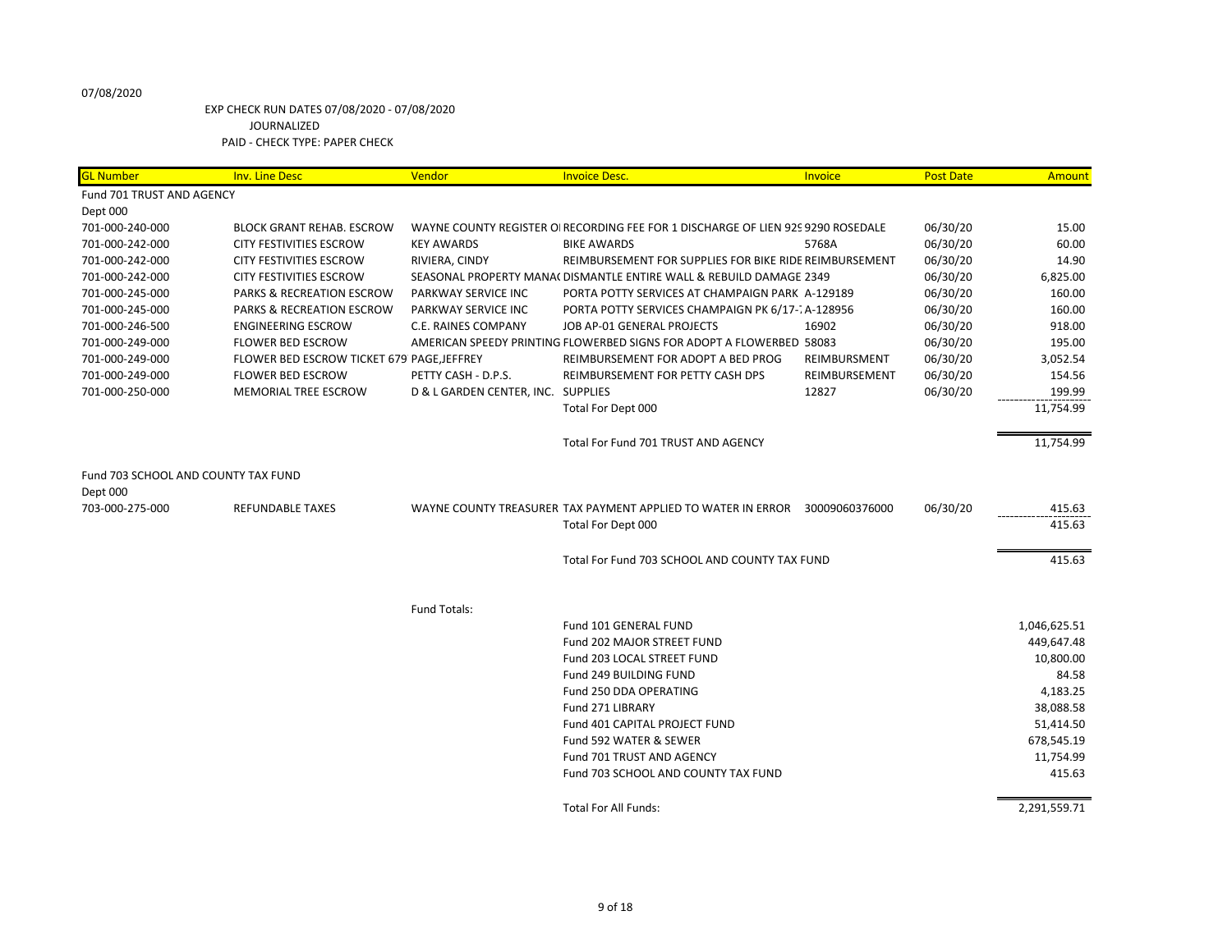| <b>GL Number</b>                    | <b>Inv. Line Desc</b>                      | Vendor                             | <b>Invoice Desc.</b>                                                             | Invoice        | <b>Post Date</b> | Amount       |
|-------------------------------------|--------------------------------------------|------------------------------------|----------------------------------------------------------------------------------|----------------|------------------|--------------|
| Fund 701 TRUST AND AGENCY           |                                            |                                    |                                                                                  |                |                  |              |
| Dept 000                            |                                            |                                    |                                                                                  |                |                  |              |
| 701-000-240-000                     | <b>BLOCK GRANT REHAB. ESCROW</b>           |                                    | WAYNE COUNTY REGISTER OI RECORDING FEE FOR 1 DISCHARGE OF LIEN 929 9290 ROSEDALE |                | 06/30/20         | 15.00        |
| 701-000-242-000                     | <b>CITY FESTIVITIES ESCROW</b>             | <b>KEY AWARDS</b>                  | <b>BIKE AWARDS</b>                                                               | 5768A          | 06/30/20         | 60.00        |
| 701-000-242-000                     | <b>CITY FESTIVITIES ESCROW</b>             | RIVIERA, CINDY                     | REIMBURSEMENT FOR SUPPLIES FOR BIKE RIDE REIMBURSEMENT                           |                | 06/30/20         | 14.90        |
| 701-000-242-000                     | CITY FESTIVITIES ESCROW                    |                                    | SEASONAL PROPERTY MANA( DISMANTLE ENTIRE WALL & REBUILD DAMAGE 2349              |                | 06/30/20         | 6,825.00     |
| 701-000-245-000                     | <b>PARKS &amp; RECREATION ESCROW</b>       | PARKWAY SERVICE INC                | PORTA POTTY SERVICES AT CHAMPAIGN PARK A-129189                                  |                | 06/30/20         | 160.00       |
| 701-000-245-000                     | <b>PARKS &amp; RECREATION ESCROW</b>       | PARKWAY SERVICE INC                | PORTA POTTY SERVICES CHAMPAIGN PK 6/17-7A-128956                                 |                | 06/30/20         | 160.00       |
| 701-000-246-500                     | <b>ENGINEERING ESCROW</b>                  | C.E. RAINES COMPANY                | JOB AP-01 GENERAL PROJECTS                                                       | 16902          | 06/30/20         | 918.00       |
| 701-000-249-000                     | <b>FLOWER BED ESCROW</b>                   |                                    | AMERICAN SPEEDY PRINTING FLOWERBED SIGNS FOR ADOPT A FLOWERBED 58083             |                | 06/30/20         | 195.00       |
| 701-000-249-000                     | FLOWER BED ESCROW TICKET 679 PAGE, JEFFREY |                                    | REIMBURSEMENT FOR ADOPT A BED PROG                                               | REIMBURSMENT   | 06/30/20         | 3,052.54     |
| 701-000-249-000                     | <b>FLOWER BED ESCROW</b>                   | PETTY CASH - D.P.S.                | REIMBURSEMENT FOR PETTY CASH DPS                                                 | REIMBURSEMENT  | 06/30/20         | 154.56       |
| 701-000-250-000                     | MEMORIAL TREE ESCROW                       | D & L GARDEN CENTER, INC. SUPPLIES |                                                                                  | 12827          | 06/30/20         | 199.99       |
|                                     |                                            |                                    | Total For Dept 000                                                               |                |                  | 11,754.99    |
|                                     |                                            |                                    | Total For Fund 701 TRUST AND AGENCY                                              |                |                  | 11,754.99    |
| Fund 703 SCHOOL AND COUNTY TAX FUND |                                            |                                    |                                                                                  |                |                  |              |
| Dept 000                            |                                            |                                    |                                                                                  |                |                  |              |
| 703-000-275-000                     | <b>REFUNDABLE TAXES</b>                    |                                    | WAYNE COUNTY TREASURER TAX PAYMENT APPLIED TO WATER IN ERROR                     | 30009060376000 | 06/30/20         | 415.63       |
|                                     |                                            |                                    | Total For Dept 000                                                               |                |                  | 415.63       |
|                                     |                                            |                                    | Total For Fund 703 SCHOOL AND COUNTY TAX FUND                                    |                |                  | 415.63       |
|                                     |                                            | Fund Totals:                       |                                                                                  |                |                  |              |
|                                     |                                            |                                    | Fund 101 GENERAL FUND                                                            |                |                  | 1,046,625.51 |
|                                     |                                            |                                    | <b>Fund 202 MAJOR STREET FUND</b>                                                |                |                  | 449,647.48   |
|                                     |                                            |                                    | Fund 203 LOCAL STREET FUND                                                       |                |                  | 10,800.00    |
|                                     |                                            |                                    | Fund 249 BUILDING FUND                                                           |                |                  | 84.58        |
|                                     |                                            |                                    | Fund 250 DDA OPERATING                                                           |                |                  | 4,183.25     |
|                                     |                                            |                                    | Fund 271 LIBRARY                                                                 |                |                  | 38,088.58    |
|                                     |                                            |                                    | Fund 401 CAPITAL PROJECT FUND                                                    |                |                  | 51,414.50    |
|                                     |                                            |                                    | Fund 592 WATER & SEWER                                                           |                |                  | 678,545.19   |
|                                     |                                            |                                    | Fund 701 TRUST AND AGENCY                                                        |                |                  | 11,754.99    |
|                                     |                                            |                                    | Fund 703 SCHOOL AND COUNTY TAX FUND                                              |                |                  | 415.63       |
|                                     |                                            |                                    | <b>Total For All Funds:</b>                                                      |                |                  | 2,291,559.71 |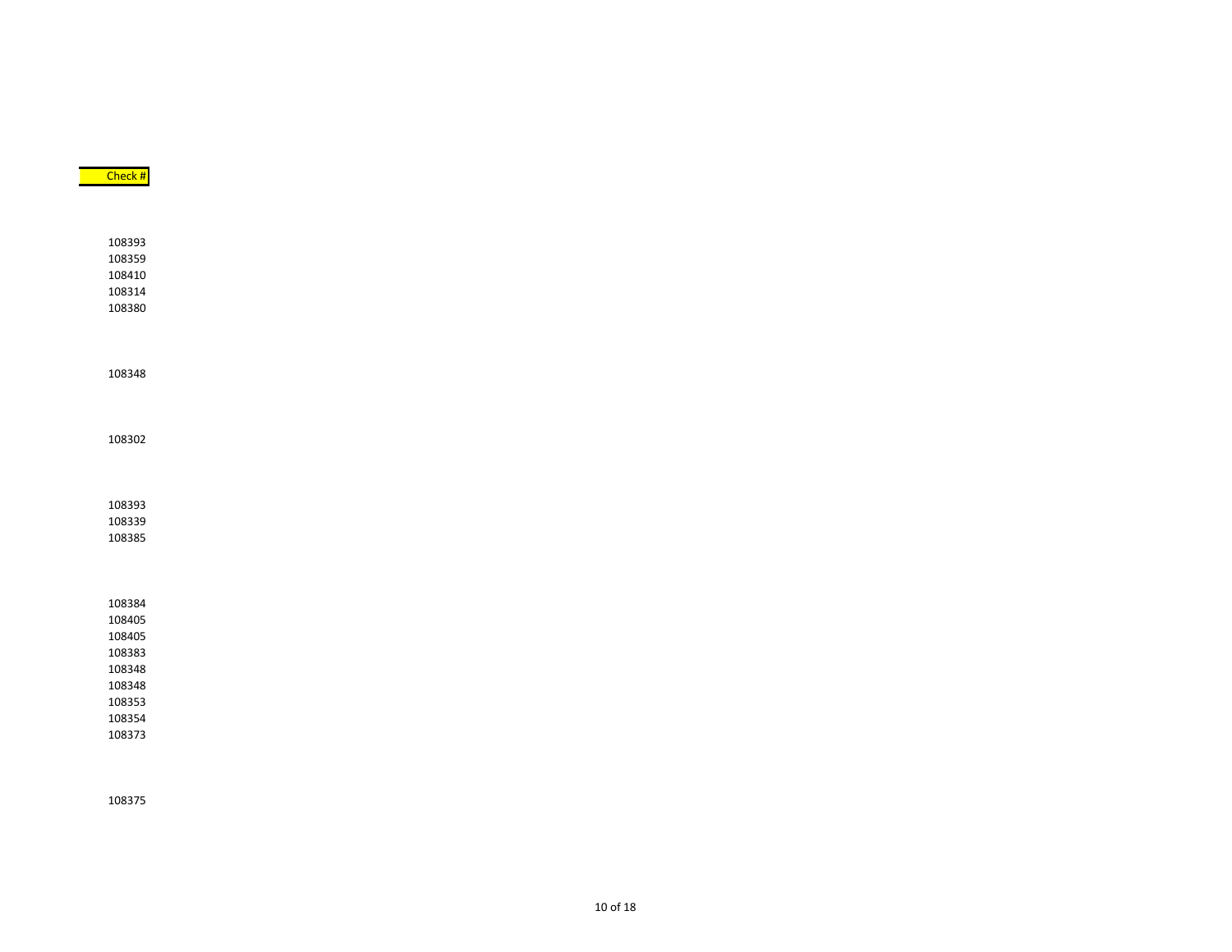| 108302                     |
|----------------------------|
| 108393<br>108339<br>108385 |
|                            |
| 108384                     |
| 108405                     |
| 108405                     |
| 108383                     |
| 108348                     |
| 108348                     |
| 108353                     |
| 108354                     |
| 108373                     |

Check #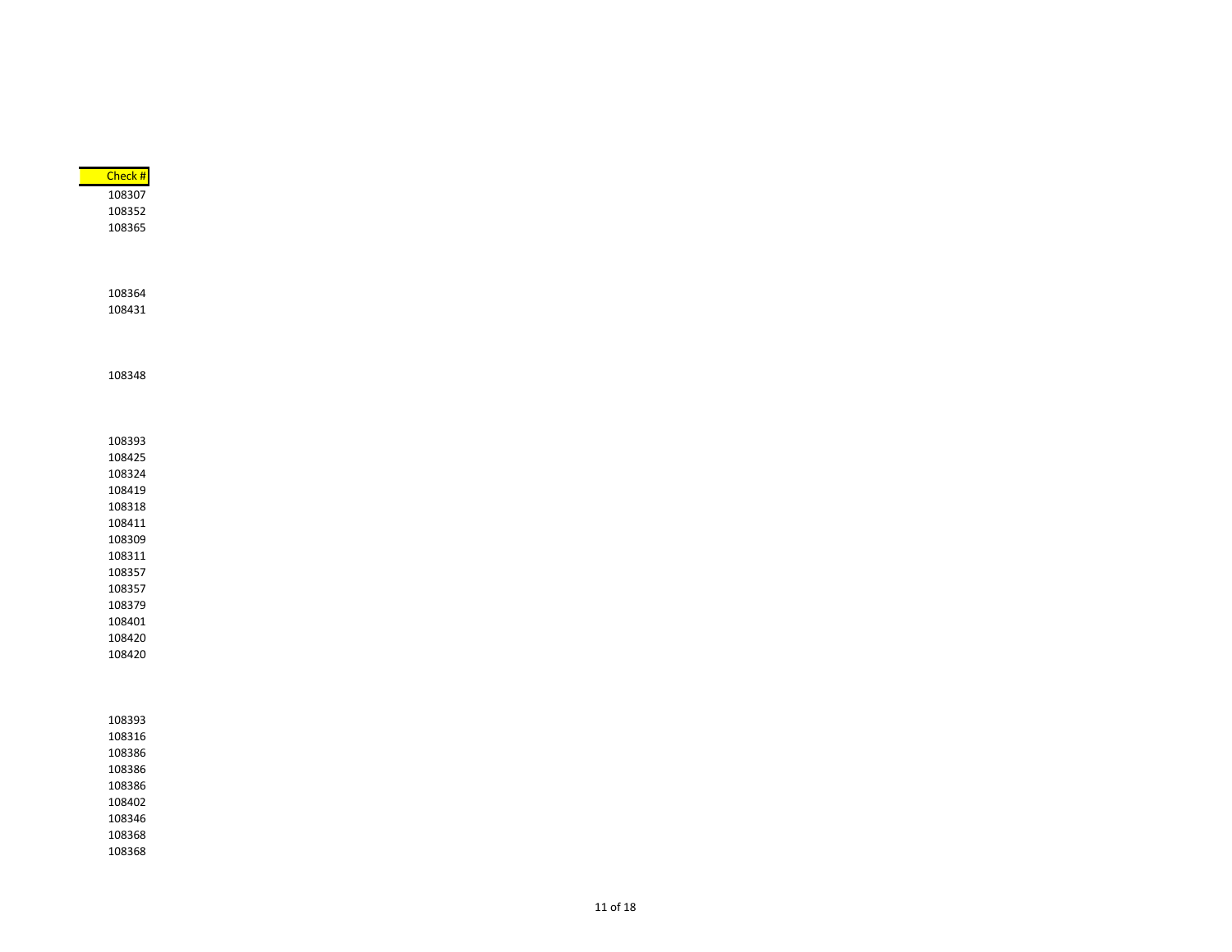| Check # |  |  |  |  |
|---------|--|--|--|--|
| 108307  |  |  |  |  |
| 108352  |  |  |  |  |
| 108365  |  |  |  |  |
|         |  |  |  |  |
|         |  |  |  |  |
|         |  |  |  |  |
| 108364  |  |  |  |  |
| 108431  |  |  |  |  |
|         |  |  |  |  |
|         |  |  |  |  |
|         |  |  |  |  |
| 108348  |  |  |  |  |
|         |  |  |  |  |
|         |  |  |  |  |
|         |  |  |  |  |
| 108393  |  |  |  |  |
| 108425  |  |  |  |  |
| 108324  |  |  |  |  |
| 108419  |  |  |  |  |
| 108318  |  |  |  |  |
| 108411  |  |  |  |  |
| 108309  |  |  |  |  |
| 108311  |  |  |  |  |
| 108357  |  |  |  |  |
| 108357  |  |  |  |  |
| 108379  |  |  |  |  |
| 108401  |  |  |  |  |
| 108420  |  |  |  |  |
| 108420  |  |  |  |  |
|         |  |  |  |  |
|         |  |  |  |  |
|         |  |  |  |  |
| 108393  |  |  |  |  |
| 108316  |  |  |  |  |
| 108386  |  |  |  |  |
| 108386  |  |  |  |  |
| 108386  |  |  |  |  |
| 108402  |  |  |  |  |
| 108346  |  |  |  |  |
| 108368  |  |  |  |  |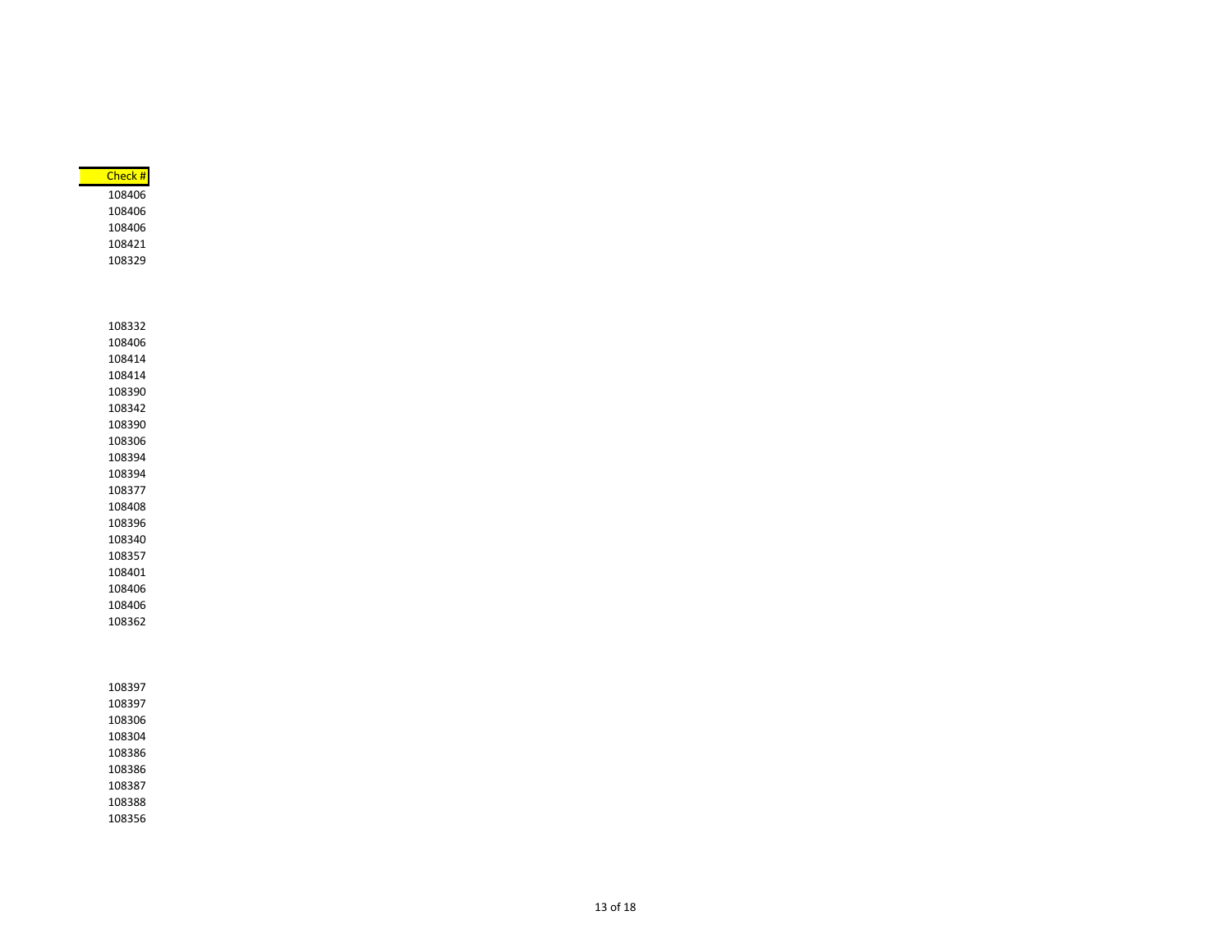| Check # |
|---------|
| 108406  |
| 108406  |
| 108406  |
| 108421  |
| 108329  |
|         |
|         |
|         |
| 108332  |
| 108406  |
| 108414  |
| 108414  |
| 108390  |
| 108342  |
| 108390  |
| 108306  |
| 108394  |
| 108394  |
| 108377  |
| 108408  |
| 108396  |
| 108340  |
| 108357  |
| 108401  |
| 108406  |
| 108406  |
| 108362  |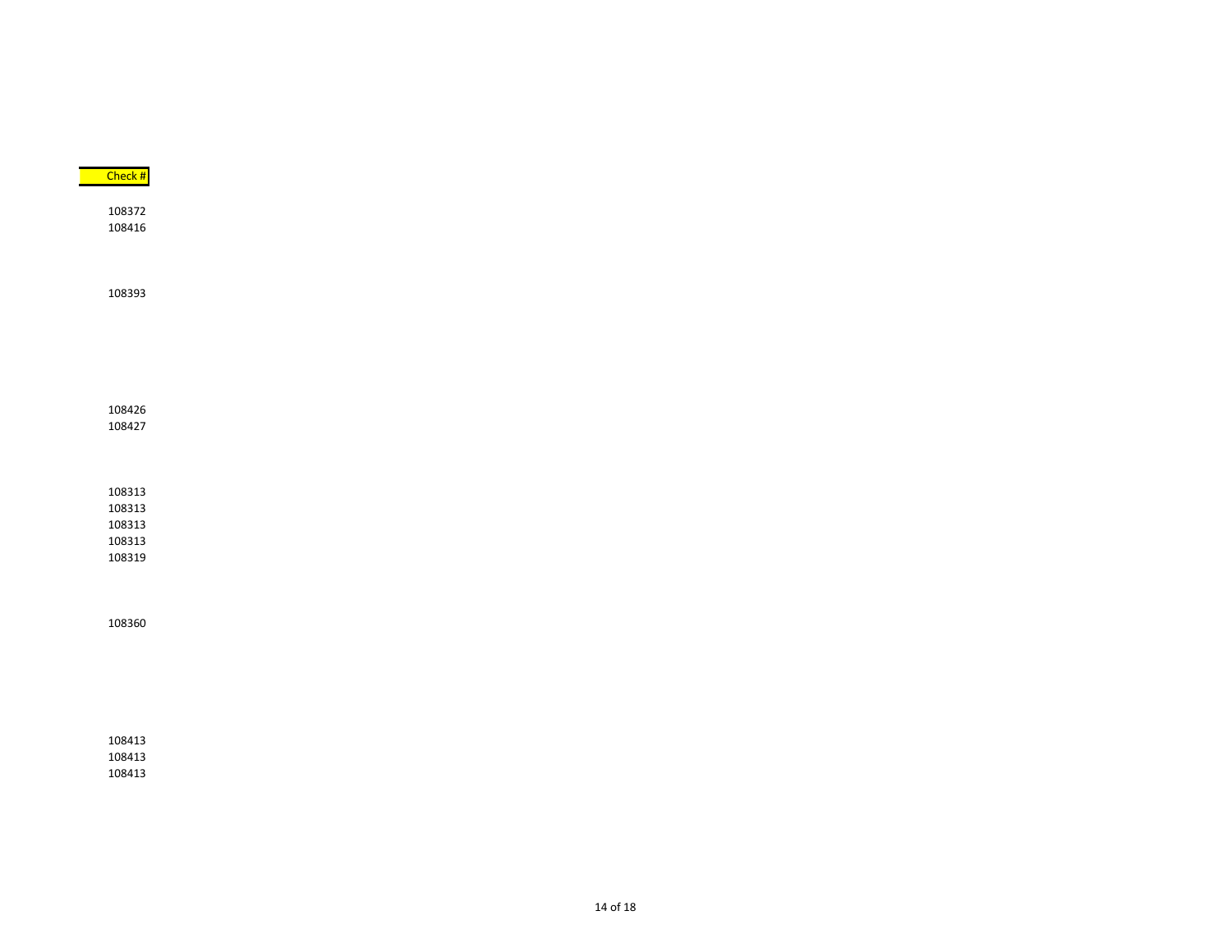| Check # |  |  |  |
|---------|--|--|--|
|         |  |  |  |
| 108372  |  |  |  |
| 108416  |  |  |  |
|         |  |  |  |
|         |  |  |  |
|         |  |  |  |
| 108393  |  |  |  |
|         |  |  |  |
|         |  |  |  |
|         |  |  |  |
|         |  |  |  |
|         |  |  |  |
|         |  |  |  |
| 108426  |  |  |  |
| 108427  |  |  |  |
|         |  |  |  |
|         |  |  |  |
|         |  |  |  |
| 108313  |  |  |  |
| 108313  |  |  |  |
| 108313  |  |  |  |
| 108313  |  |  |  |
| 108319  |  |  |  |
|         |  |  |  |
|         |  |  |  |
|         |  |  |  |
| 108360  |  |  |  |
|         |  |  |  |
|         |  |  |  |
|         |  |  |  |
|         |  |  |  |
|         |  |  |  |
|         |  |  |  |
| 108413  |  |  |  |
|         |  |  |  |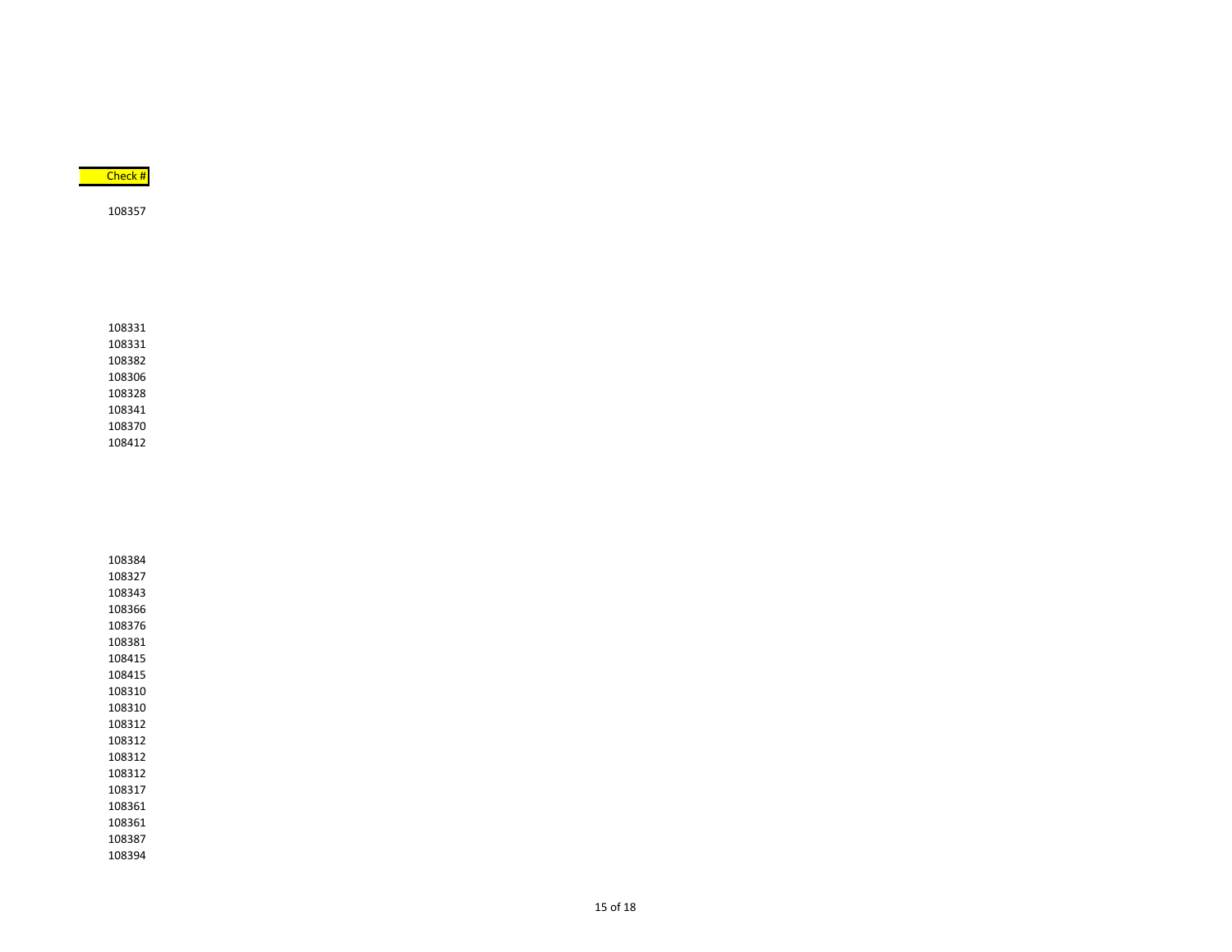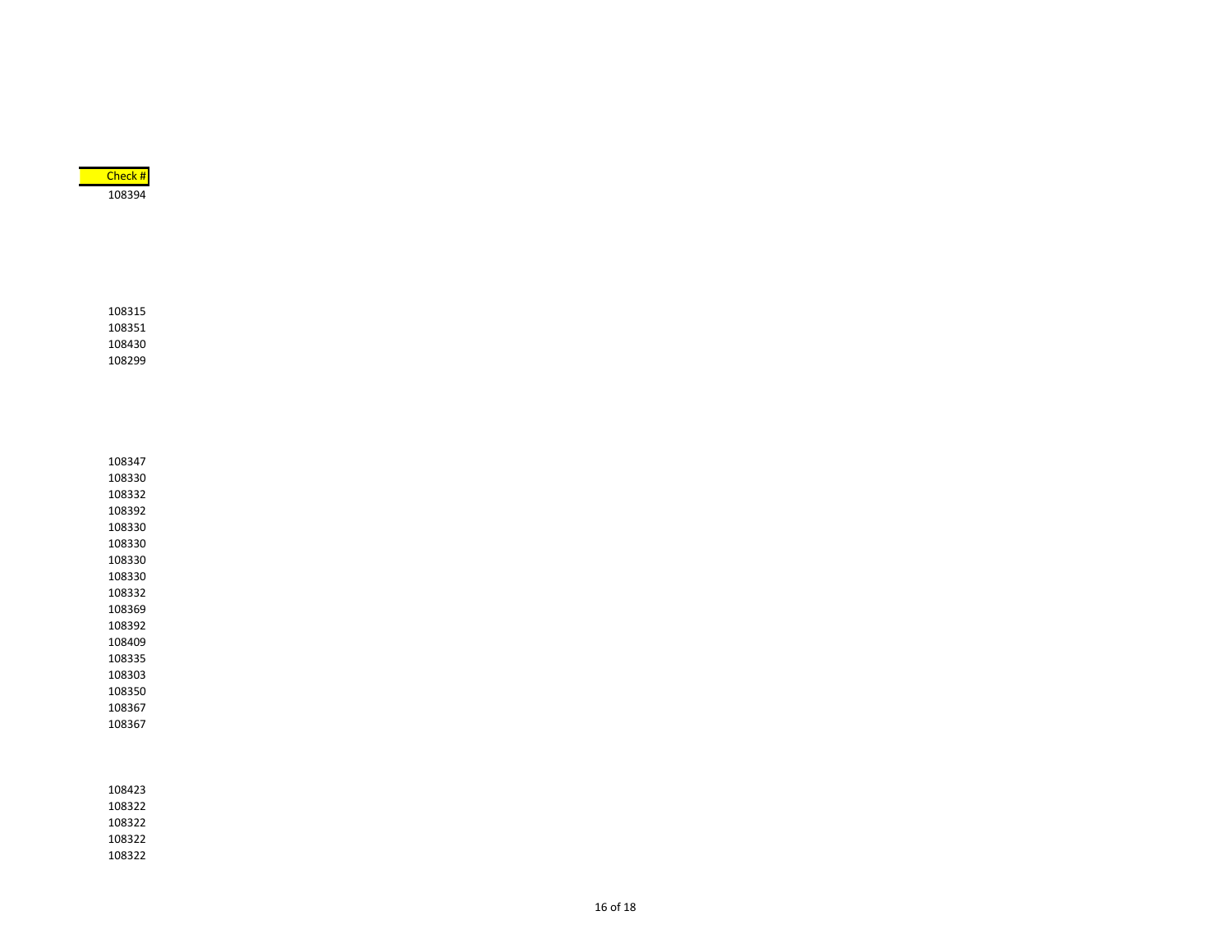

16 of 18